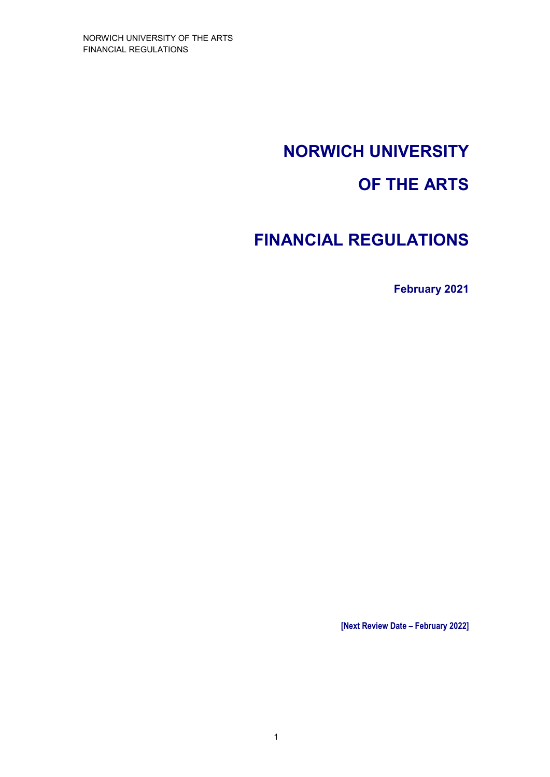# **NORWICH UNIVERSITY**

# **OF THE ARTS**

# **FINANCIAL REGULATIONS**

**February 2021** 

**[Next Review Date – February 2022]**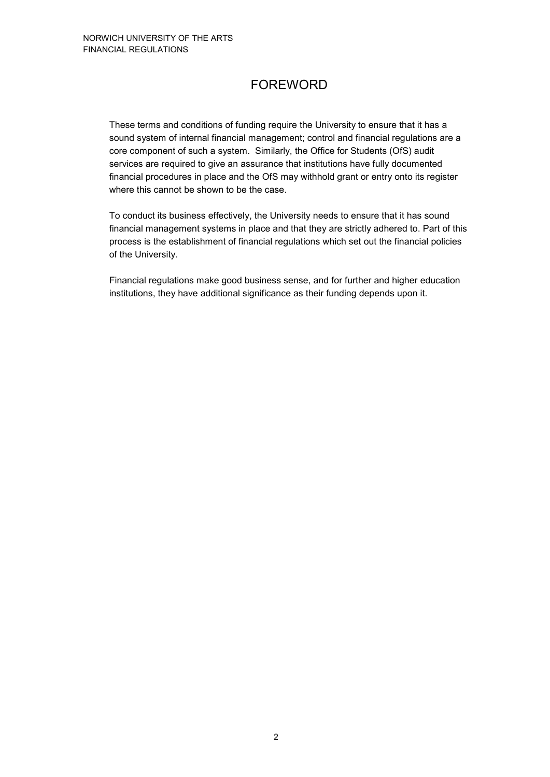# FOREWORD

These terms and conditions of funding require the University to ensure that it has a sound system of internal financial management; control and financial regulations are a core component of such a system. Similarly, the Office for Students (OfS) audit services are required to give an assurance that institutions have fully documented financial procedures in place and the OfS may withhold grant or entry onto its register where this cannot be shown to be the case.

To conduct its business effectively, the University needs to ensure that it has sound financial management systems in place and that they are strictly adhered to. Part of this process is the establishment of financial regulations which set out the financial policies of the University.

Financial regulations make good business sense, and for further and higher education institutions, they have additional significance as their funding depends upon it.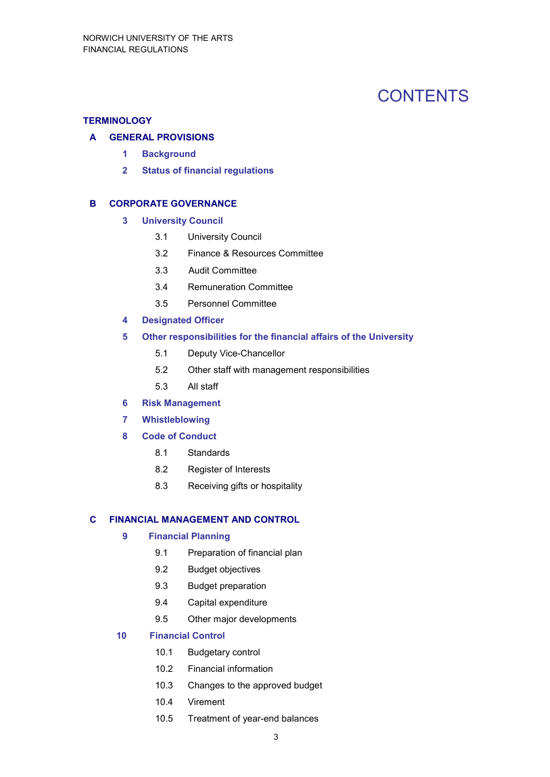# **CONTENTS**

#### **TERMINOLOGY**

#### **A GENERAL PROVISIONS**

- **1 Background**
- **2 Status of financial regulations**

#### **B CORPORATE GOVERNANCE**

- **3 University Council** 
	- 3.1 University Council
	- 3.2 Finance & Resources Committee
	- 3.3 Audit Committee
	- 3.4 Remuneration Committee
	- 3.5 Personnel Committee
- **4 Designated Officer**

#### **5 Other responsibilities for the financial affairs of the University**

- 5.1 Deputy Vice-Chancellor
- 5.2 Other staff with management responsibilities
- 5.3 All staff
- **6 Risk Management**
- **7 Whistleblowing**
- **8 Code of Conduct** 
	- 8.1 Standards
	- 8.2 Register of Interests
	- 8.3 Receiving gifts or hospitality

#### **C FINANCIAL MANAGEMENT AND CONTROL**

#### **9 Financial Planning**

- 9.1 Preparation of financial plan
- 9.2 Budget objectives
- 9.3 Budget preparation
- 9.4 Capital expenditure
- 9.5 Other major developments

#### **10 Financial Control**

- 10.1 Budgetary control
- 10.2 Financial information
- 10.3 Changes to the approved budget
- 10.4 Virement
- 10.5 Treatment of year-end balances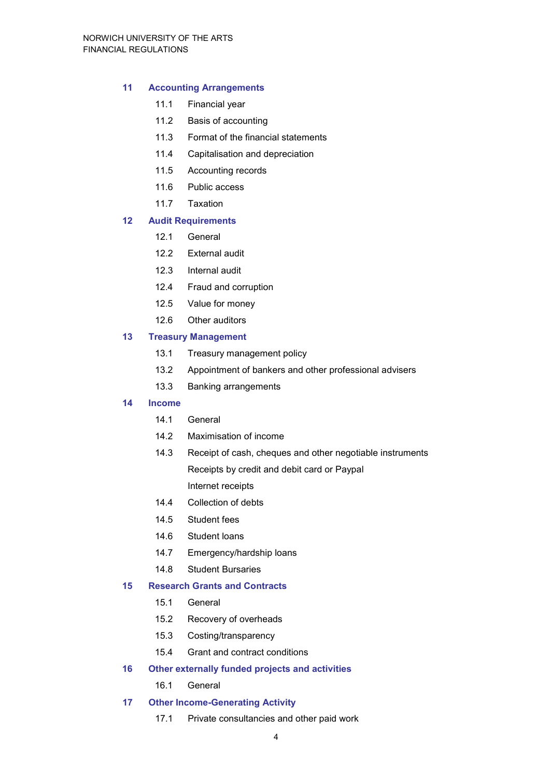#### **11 Accounting Arrangements**

- 11.1 Financial year
- 11.2 Basis of accounting
- 11.3 Format of the financial statements
- 11.4 Capitalisation and depreciation
- 11.5 Accounting records
- 11.6 Public access
- 11.7 Taxation

#### **12 Audit Requirements**

- 12.1 General
- 12.2 External audit
- 12.3 Internal audit
- 12.4 Fraud and corruption
- 12.5 Value for money
- 12.6 Other auditors

#### **13 Treasury Management**

- 13.1 Treasury management policy
- 13.2 Appointment of bankers and other professional advisers
- 13.3 Banking arrangements

#### **14 Income**

- 14.1 General
- 14.2 Maximisation of income
- 14.3 Receipt of cash, cheques and other negotiable instruments Receipts by credit and debit card or Paypal Internet receipts
- 14.4 Collection of debts
- 14.5 Student fees
- 14.6 Student loans
- 14.7 Emergency/hardship loans
- 14.8 Student Bursaries

#### **15 Research Grants and Contracts**

- 15.1 General
- 15.2 Recovery of overheads
- 15.3 Costing/transparency
- 15.4 Grant and contract conditions

#### **16 Other externally funded projects and activities**

- 16.1 General
- **17 Other Income-Generating Activity** 
	- 17.1 Private consultancies and other paid work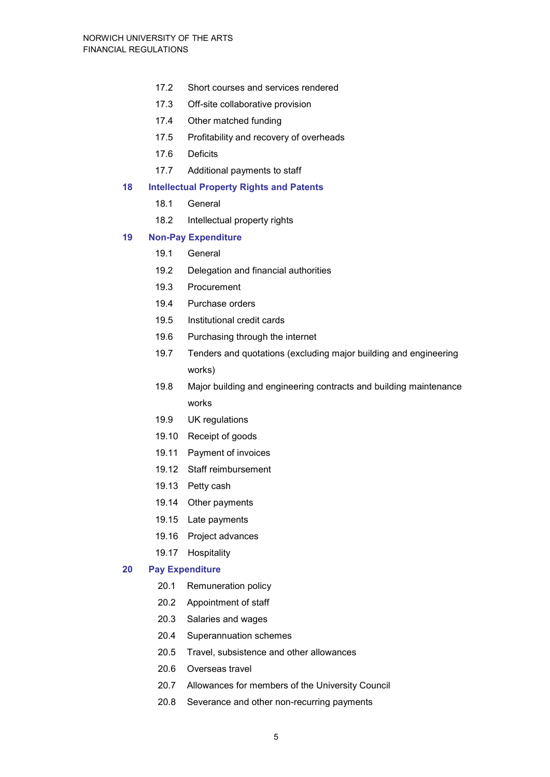- 17.2 Short courses and services rendered
- 17.3 Off-site collaborative provision
- 17.4 Other matched funding
- 17.5 Profitability and recovery of overheads
- 17.6 Deficits
- 17.7 Additional payments to staff

#### **18 Intellectual Property Rights and Patents**

- 18.1 General
- 18.2 Intellectual property rights

#### **19 Non-Pay Expenditure**

- 19.1 General
- 19.2 Delegation and financial authorities
- 19.3 Procurement
- 19.4 Purchase orders
- 19.5 Institutional credit cards
- 19.6 Purchasing through the internet
- 19.7 Tenders and quotations (excluding major building and engineering works)
- 19.8 Major building and engineering contracts and building maintenance works
- 19.9 UK regulations
- 19.10 Receipt of goods
- 19.11 Payment of invoices
- 19.12 Staff reimbursement
- 19.13 Petty cash
- 19.14 Other payments
- 19.15 Late payments
- 19.16 Project advances
- 19.17 Hospitality

#### **20 Pay Expenditure**

- 20.1 Remuneration policy
- 20.2 Appointment of staff
- 20.3 Salaries and wages
- 20.4 Superannuation schemes
- 20.5 Travel, subsistence and other allowances
- 20.6 Overseas travel
- 20.7 Allowances for members of the University Council
- 20.8 Severance and other non-recurring payments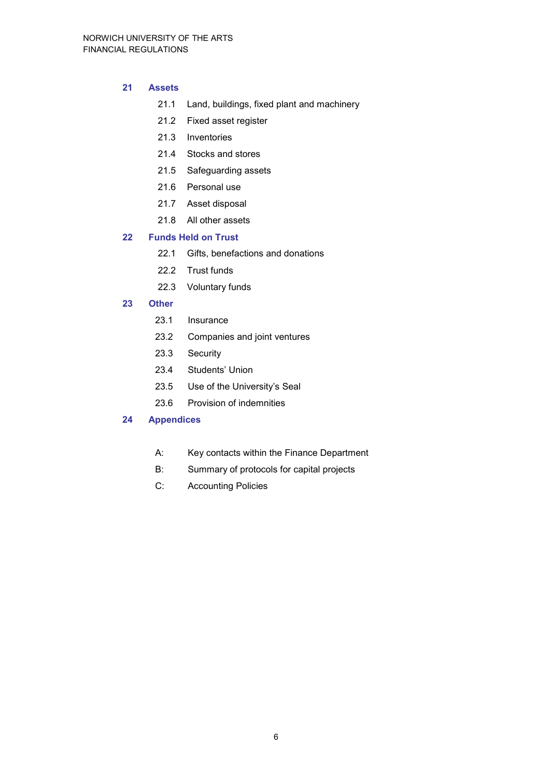#### **21 Assets**

- 21.1 Land, buildings, fixed plant and machinery
- 21.2 Fixed asset register
- 21.3 Inventories
- 21.4 Stocks and stores
- 21.5 Safeguarding assets
- 21.6 Personal use
- 21.7 Asset disposal
- 21.8 All other assets

#### **22 Funds Held on Trust**

- 22.1 Gifts, benefactions and donations
- 22.2 Trust funds
- 22.3 Voluntary funds

#### **23 Other**

- 23.1 Insurance
- 23.2 Companies and joint ventures
- 23.3 Security
- 23.4 Students' Union
- 23.5 Use of the University's Seal
- 23.6 Provision of indemnities

#### **24 Appendices**

- A: Key contacts within the Finance Department
- B: Summary of protocols for capital projects
- C: Accounting Policies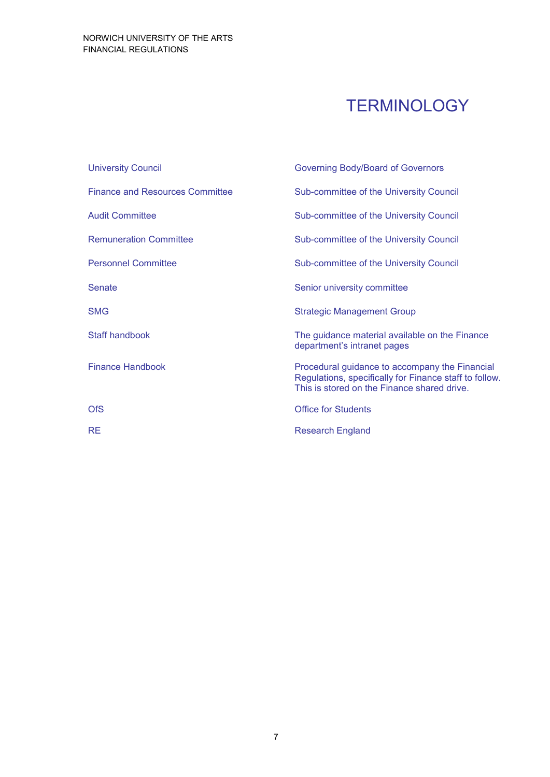# **TERMINOLOGY**

| <b>University Council</b>              | <b>Governing Body/Board of Governors</b>                                                                                                                |
|----------------------------------------|---------------------------------------------------------------------------------------------------------------------------------------------------------|
| <b>Finance and Resources Committee</b> | Sub-committee of the University Council                                                                                                                 |
| <b>Audit Committee</b>                 | Sub-committee of the University Council                                                                                                                 |
| <b>Remuneration Committee</b>          | Sub-committee of the University Council                                                                                                                 |
| <b>Personnel Committee</b>             | Sub-committee of the University Council                                                                                                                 |
| <b>Senate</b>                          | Senior university committee                                                                                                                             |
| <b>SMG</b>                             | <b>Strategic Management Group</b>                                                                                                                       |
| <b>Staff handbook</b>                  | The guidance material available on the Finance<br>department's intranet pages                                                                           |
| <b>Finance Handbook</b>                | Procedural guidance to accompany the Financial<br>Regulations, specifically for Finance staff to follow.<br>This is stored on the Finance shared drive. |
| <b>OfS</b>                             | <b>Office for Students</b>                                                                                                                              |
| <b>RE</b>                              | <b>Research England</b>                                                                                                                                 |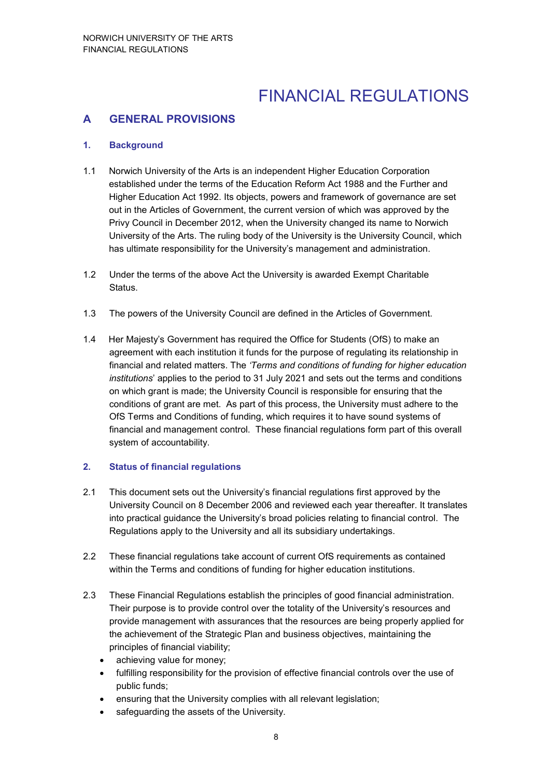# FINANCIAL REGULATIONS

# **A GENERAL PROVISIONS**

#### **1. Background**

- 1.1 Norwich University of the Arts is an independent Higher Education Corporation established under the terms of the Education Reform Act 1988 and the Further and Higher Education Act 1992. Its objects, powers and framework of governance are set out in the Articles of Government, the current version of which was approved by the Privy Council in December 2012, when the University changed its name to Norwich University of the Arts. The ruling body of the University is the University Council, which has ultimate responsibility for the University's management and administration.
- 1.2 Under the terms of the above Act the University is awarded Exempt Charitable Status.
- 1.3 The powers of the University Council are defined in the Articles of Government.
- 1.4 Her Majesty's Government has required the Office for Students (OfS) to make an agreement with each institution it funds for the purpose of regulating its relationship in financial and related matters. The *'Terms and conditions of funding for higher education institutions*' applies to the period to 31 July 2021 and sets out the terms and conditions on which grant is made; the University Council is responsible for ensuring that the conditions of grant are met. As part of this process, the University must adhere to the OfS Terms and Conditions of funding, which requires it to have sound systems of financial and management control. These financial regulations form part of this overall system of accountability.

#### **2. Status of financial regulations**

- 2.1 This document sets out the University's financial regulations first approved by the University Council on 8 December 2006 and reviewed each year thereafter. It translates into practical guidance the University's broad policies relating to financial control. The Regulations apply to the University and all its subsidiary undertakings.
- 2.2 These financial regulations take account of current OfS requirements as contained within the Terms and conditions of funding for higher education institutions.
- 2.3 These Financial Regulations establish the principles of good financial administration. Their purpose is to provide control over the totality of the University's resources and provide management with assurances that the resources are being properly applied for the achievement of the Strategic Plan and business objectives, maintaining the principles of financial viability;
	- achieving value for money;
	- fulfilling responsibility for the provision of effective financial controls over the use of public funds;
	- ensuring that the University complies with all relevant legislation;
	- safeguarding the assets of the University.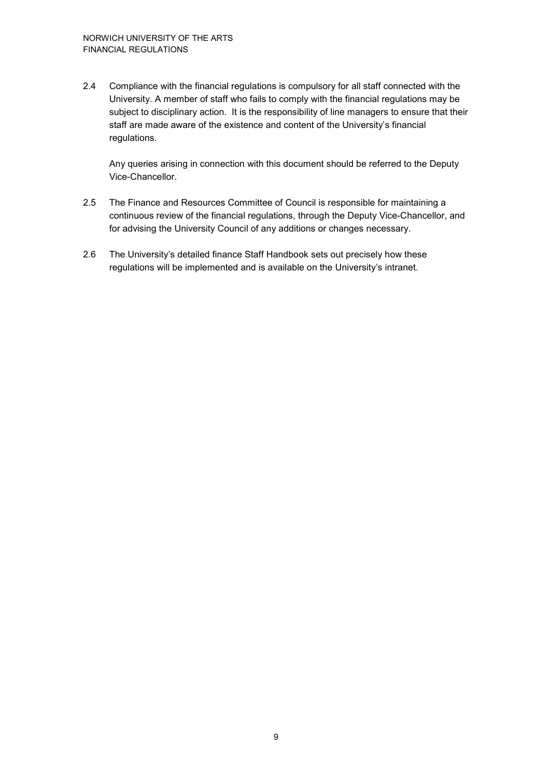2.4 Compliance with the financial regulations is compulsory for all staff connected with the University. A member of staff who fails to comply with the financial regulations may be subject to disciplinary action. It is the responsibility of line managers to ensure that their staff are made aware of the existence and content of the University's financial regulations.

Any queries arising in connection with this document should be referred to the Deputy Vice-Chancellor.

- 2.5 The Finance and Resources Committee of Council is responsible for maintaining a continuous review of the financial regulations, through the Deputy Vice-Chancellor, and for advising the University Council of any additions or changes necessary.
- 2.6 The University's detailed finance Staff Handbook sets out precisely how these regulations will be implemented and is available on the University's intranet.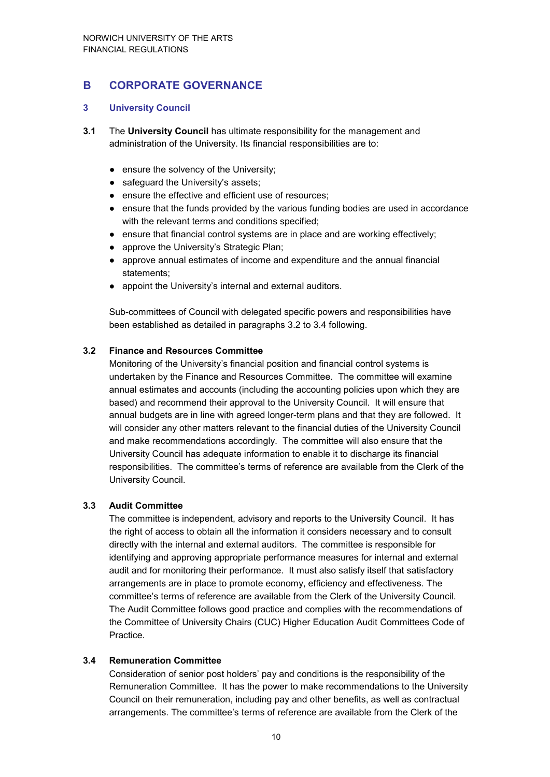# **B CORPORATE GOVERNANCE**

#### **3 University Council**

- **3.1** The **University Council** has ultimate responsibility for the management and administration of the University. Its financial responsibilities are to:
	- ensure the solvency of the University;
	- safeguard the University's assets;
	- ensure the effective and efficient use of resources;
	- ensure that the funds provided by the various funding bodies are used in accordance with the relevant terms and conditions specified;
	- ensure that financial control systems are in place and are working effectively;
	- approve the University's Strategic Plan;
	- approve annual estimates of income and expenditure and the annual financial statements;
	- appoint the University's internal and external auditors.

Sub-committees of Council with delegated specific powers and responsibilities have been established as detailed in paragraphs 3.2 to 3.4 following.

#### **3.2 Finance and Resources Committee**

Monitoring of the University's financial position and financial control systems is undertaken by the Finance and Resources Committee. The committee will examine annual estimates and accounts (including the accounting policies upon which they are based) and recommend their approval to the University Council. It will ensure that annual budgets are in line with agreed longer-term plans and that they are followed. It will consider any other matters relevant to the financial duties of the University Council and make recommendations accordingly. The committee will also ensure that the University Council has adequate information to enable it to discharge its financial responsibilities. The committee's terms of reference are available from the Clerk of the University Council.

#### **3.3 Audit Committee**

The committee is independent, advisory and reports to the University Council. It has the right of access to obtain all the information it considers necessary and to consult directly with the internal and external auditors. The committee is responsible for identifying and approving appropriate performance measures for internal and external audit and for monitoring their performance. It must also satisfy itself that satisfactory arrangements are in place to promote economy, efficiency and effectiveness. The committee's terms of reference are available from the Clerk of the University Council. The Audit Committee follows good practice and complies with the recommendations of the Committee of University Chairs (CUC) Higher Education Audit Committees Code of Practice.

#### **3.4 Remuneration Committee**

Consideration of senior post holders' pay and conditions is the responsibility of the Remuneration Committee. It has the power to make recommendations to the University Council on their remuneration, including pay and other benefits, as well as contractual arrangements. The committee's terms of reference are available from the Clerk of the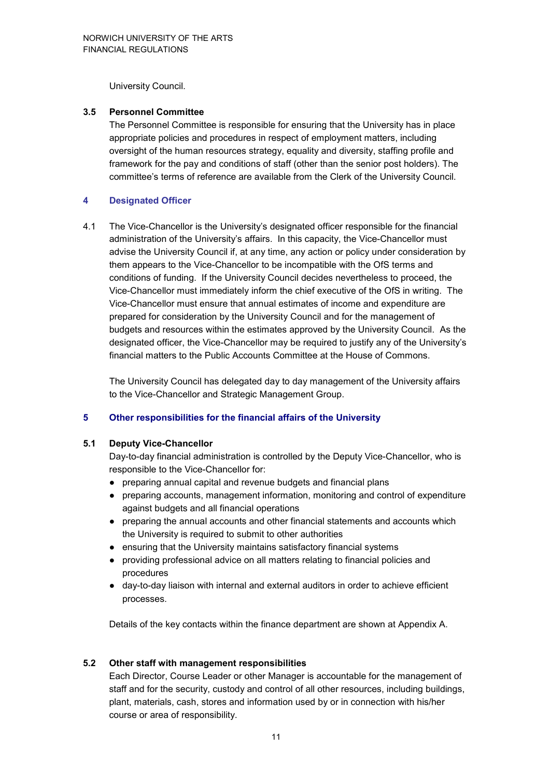University Council.

#### **3.5 Personnel Committee**

The Personnel Committee is responsible for ensuring that the University has in place appropriate policies and procedures in respect of employment matters, including oversight of the human resources strategy, equality and diversity, staffing profile and framework for the pay and conditions of staff (other than the senior post holders). The committee's terms of reference are available from the Clerk of the University Council.

#### **4 Designated Officer**

4.1 The Vice-Chancellor is the University's designated officer responsible for the financial administration of the University's affairs. In this capacity, the Vice-Chancellor must advise the University Council if, at any time, any action or policy under consideration by them appears to the Vice-Chancellor to be incompatible with the OfS terms and conditions of funding. If the University Council decides nevertheless to proceed, the Vice-Chancellor must immediately inform the chief executive of the OfS in writing. The Vice-Chancellor must ensure that annual estimates of income and expenditure are prepared for consideration by the University Council and for the management of budgets and resources within the estimates approved by the University Council. As the designated officer, the Vice-Chancellor may be required to justify any of the University's financial matters to the Public Accounts Committee at the House of Commons.

The University Council has delegated day to day management of the University affairs to the Vice-Chancellor and Strategic Management Group.

#### **5 Other responsibilities for the financial affairs of the University**

#### **5.1 Deputy Vice-Chancellor**

Day-to-day financial administration is controlled by the Deputy Vice-Chancellor, who is responsible to the Vice-Chancellor for:

- preparing annual capital and revenue budgets and financial plans
- preparing accounts, management information, monitoring and control of expenditure against budgets and all financial operations
- preparing the annual accounts and other financial statements and accounts which the University is required to submit to other authorities
- ensuring that the University maintains satisfactory financial systems
- providing professional advice on all matters relating to financial policies and procedures
- day-to-day liaison with internal and external auditors in order to achieve efficient processes.

Details of the key contacts within the finance department are shown at Appendix A.

#### **5.2 Other staff with management responsibilities**

Each Director, Course Leader or other Manager is accountable for the management of staff and for the security, custody and control of all other resources, including buildings, plant, materials, cash, stores and information used by or in connection with his/her course or area of responsibility.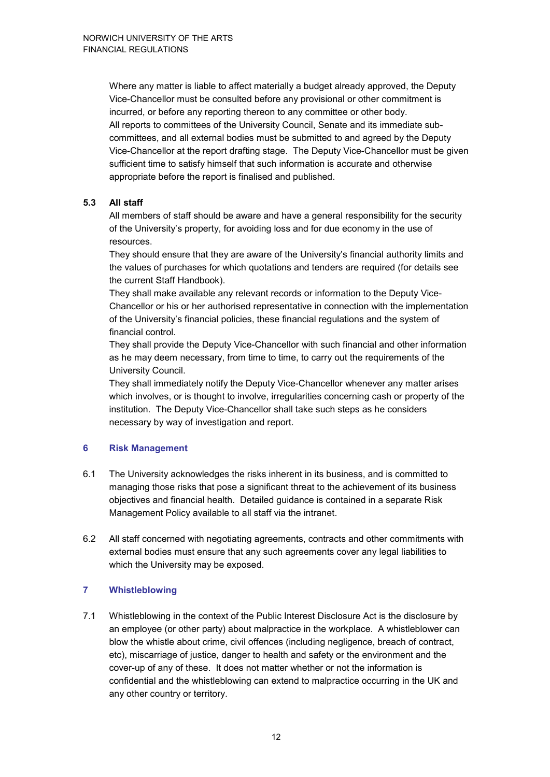Where any matter is liable to affect materially a budget already approved, the Deputy Vice-Chancellor must be consulted before any provisional or other commitment is incurred, or before any reporting thereon to any committee or other body. All reports to committees of the University Council, Senate and its immediate subcommittees, and all external bodies must be submitted to and agreed by the Deputy Vice-Chancellor at the report drafting stage. The Deputy Vice-Chancellor must be given sufficient time to satisfy himself that such information is accurate and otherwise appropriate before the report is finalised and published.

#### **5.3 All staff**

All members of staff should be aware and have a general responsibility for the security of the University's property, for avoiding loss and for due economy in the use of resources.

They should ensure that they are aware of the University's financial authority limits and the values of purchases for which quotations and tenders are required (for details see the current Staff Handbook).

They shall make available any relevant records or information to the Deputy Vice-Chancellor or his or her authorised representative in connection with the implementation of the University's financial policies, these financial regulations and the system of financial control.

They shall provide the Deputy Vice-Chancellor with such financial and other information as he may deem necessary, from time to time, to carry out the requirements of the University Council.

They shall immediately notify the Deputy Vice-Chancellor whenever any matter arises which involves, or is thought to involve, irregularities concerning cash or property of the institution. The Deputy Vice-Chancellor shall take such steps as he considers necessary by way of investigation and report.

#### **6 Risk Management**

- 6.1 The University acknowledges the risks inherent in its business, and is committed to managing those risks that pose a significant threat to the achievement of its business objectives and financial health. Detailed guidance is contained in a separate Risk Management Policy available to all staff via the intranet.
- 6.2 All staff concerned with negotiating agreements, contracts and other commitments with external bodies must ensure that any such agreements cover any legal liabilities to which the University may be exposed.

#### **7 Whistleblowing**

7.1 Whistleblowing in the context of the Public Interest Disclosure Act is the disclosure by an employee (or other party) about malpractice in the workplace. A whistleblower can blow the whistle about crime, civil offences (including negligence, breach of contract, etc), miscarriage of justice, danger to health and safety or the environment and the cover-up of any of these. It does not matter whether or not the information is confidential and the whistleblowing can extend to malpractice occurring in the UK and any other country or territory.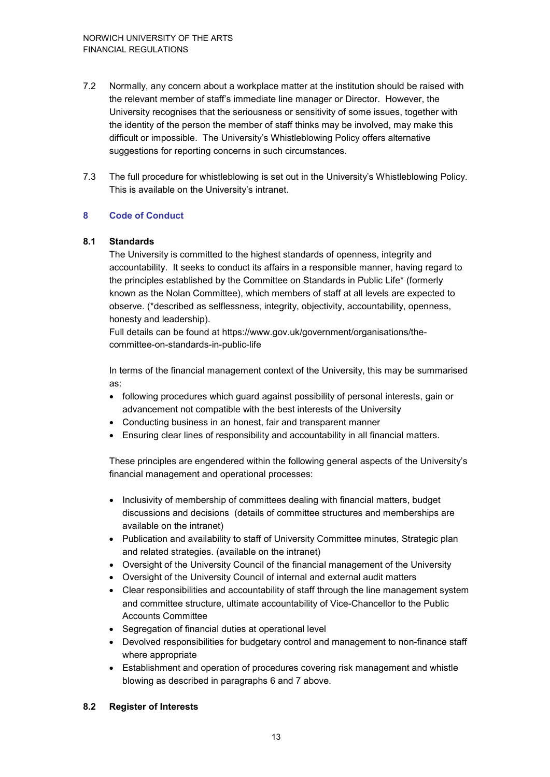- 7.2 Normally, any concern about a workplace matter at the institution should be raised with the relevant member of staff's immediate line manager or Director. However, the University recognises that the seriousness or sensitivity of some issues, together with the identity of the person the member of staff thinks may be involved, may make this difficult or impossible. The University's Whistleblowing Policy offers alternative suggestions for reporting concerns in such circumstances.
- 7.3 The full procedure for whistleblowing is set out in the University's Whistleblowing Policy. This is available on the University's intranet.

#### **8 Code of Conduct**

#### **8.1 Standards**

The University is committed to the highest standards of openness, integrity and accountability. It seeks to conduct its affairs in a responsible manner, having regard to the principles established by the Committee on Standards in Public Life\* (formerly known as the Nolan Committee), which members of staff at all levels are expected to observe. (\*described as selflessness, integrity, objectivity, accountability, openness, honesty and leadership).

Full details can be found at <https://www.gov.uk/government/organisations/the>committee-on-standards-in-public-life

In terms of the financial management context of the University, this may be summarised as:

- following procedures which guard against possibility of personal interests, gain or advancement not compatible with the best interests of the University
- Conducting business in an honest, fair and transparent manner
- Ensuring clear lines of responsibility and accountability in all financial matters.

These principles are engendered within the following general aspects of the University's financial management and operational processes:

- Inclusivity of membership of committees dealing with financial matters, budget discussions and decisions (details of committee structures and memberships are available on the intranet)
- Publication and availability to staff of University Committee minutes, Strategic plan and related strategies. (available on the intranet)
- Oversight of the University Council of the financial management of the University
- Oversight of the University Council of internal and external audit matters
- Clear responsibilities and accountability of staff through the line management system and committee structure, ultimate accountability of Vice-Chancellor to the Public Accounts Committee
- Segregation of financial duties at operational level
- Devolved responsibilities for budgetary control and management to non-finance staff where appropriate
- Establishment and operation of procedures covering risk management and whistle blowing as described in paragraphs 6 and 7 above.

#### **8.2 Register of Interests**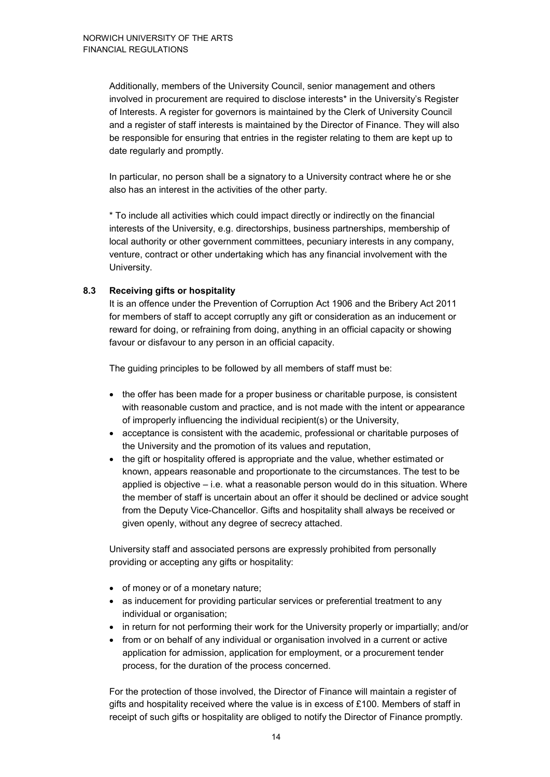Additionally, members of the University Council, senior management and others involved in procurement are required to disclose interests\* in the University's Register of Interests. A register for governors is maintained by the Clerk of University Council and a register of staff interests is maintained by the Director of Finance. They will also be responsible for ensuring that entries in the register relating to them are kept up to date regularly and promptly.

In particular, no person shall be a signatory to a University contract where he or she also has an interest in the activities of the other party.

\* To include all activities which could impact directly or indirectly on the financial interests of the University, e.g. directorships, business partnerships, membership of local authority or other government committees, pecuniary interests in any company, venture, contract or other undertaking which has any financial involvement with the University.

#### **8.3 Receiving gifts or hospitality**

It is an offence under the Prevention of Corruption Act 1906 and the Bribery Act 2011 for members of staff to accept corruptly any gift or consideration as an inducement or reward for doing, or refraining from doing, anything in an official capacity or showing favour or disfavour to any person in an official capacity.

The guiding principles to be followed by all members of staff must be:

- the offer has been made for a proper business or charitable purpose, is consistent with reasonable custom and practice, and is not made with the intent or appearance of improperly influencing the individual recipient(s) or the University,
- acceptance is consistent with the academic, professional or charitable purposes of the University and the promotion of its values and reputation,
- the gift or hospitality offered is appropriate and the value, whether estimated or known, appears reasonable and proportionate to the circumstances. The test to be applied is objective  $-$  i.e. what a reasonable person would do in this situation. Where the member of staff is uncertain about an offer it should be declined or advice sought from the Deputy Vice-Chancellor. Gifts and hospitality shall always be received or given openly, without any degree of secrecy attached.

University staff and associated persons are expressly prohibited from personally providing or accepting any gifts or hospitality:

- of money or of a monetary nature;
- as inducement for providing particular services or preferential treatment to any individual or organisation;
- in return for not performing their work for the University properly or impartially; and/or
- from or on behalf of any individual or organisation involved in a current or active application for admission, application for employment, or a procurement tender process, for the duration of the process concerned.

For the protection of those involved, the Director of Finance will maintain a register of gifts and hospitality received where the value is in excess of £100. Members of staff in receipt of such gifts or hospitality are obliged to notify the Director of Finance promptly.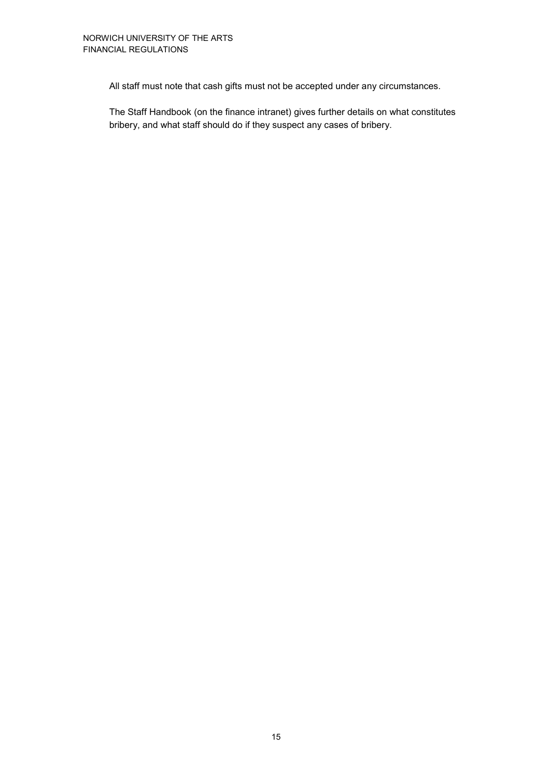All staff must note that cash gifts must not be accepted under any circumstances.

The Staff Handbook (on the finance intranet) gives further details on what constitutes bribery, and what staff should do if they suspect any cases of bribery.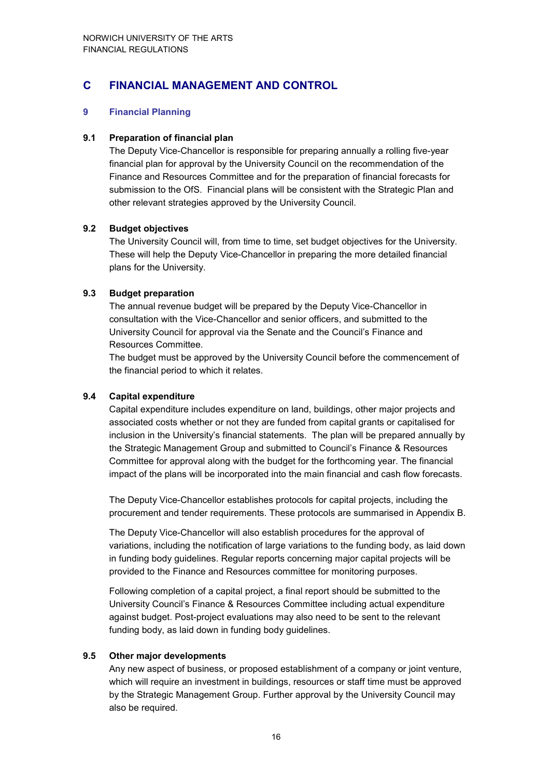### **C FINANCIAL MANAGEMENT AND CONTROL**

#### **9 Financial Planning**

#### **9.1 Preparation of financial plan**

The Deputy Vice-Chancellor is responsible for preparing annually a rolling five-year financial plan for approval by the University Council on the recommendation of the Finance and Resources Committee and for the preparation of financial forecasts for submission to the OfS. Financial plans will be consistent with the Strategic Plan and other relevant strategies approved by the University Council.

#### **9.2 Budget objectives**

The University Council will, from time to time, set budget objectives for the University. These will help the Deputy Vice-Chancellor in preparing the more detailed financial plans for the University.

#### **9.3 Budget preparation**

The annual revenue budget will be prepared by the Deputy Vice-Chancellor in consultation with the Vice-Chancellor and senior officers, and submitted to the University Council for approval via the Senate and the Council's Finance and Resources Committee.

The budget must be approved by the University Council before the commencement of the financial period to which it relates.

#### **9.4 Capital expenditure**

Capital expenditure includes expenditure on land, buildings, other major projects and associated costs whether or not they are funded from capital grants or capitalised for inclusion in the University's financial statements. The plan will be prepared annually by the Strategic Management Group and submitted to Council's Finance & Resources Committee for approval along with the budget for the forthcoming year. The financial impact of the plans will be incorporated into the main financial and cash flow forecasts.

The Deputy Vice-Chancellor establishes protocols for capital projects, including the procurement and tender requirements. These protocols are summarised in Appendix B.

The Deputy Vice-Chancellor will also establish procedures for the approval of variations, including the notification of large variations to the funding body, as laid down in funding body guidelines. Regular reports concerning major capital projects will be provided to the Finance and Resources committee for monitoring purposes.

Following completion of a capital project, a final report should be submitted to the University Council's Finance & Resources Committee including actual expenditure against budget. Post-project evaluations may also need to be sent to the relevant funding body, as laid down in funding body guidelines.

#### **9.5 Other major developments**

Any new aspect of business, or proposed establishment of a company or joint venture, which will require an investment in buildings, resources or staff time must be approved by the Strategic Management Group. Further approval by the University Council may also be required.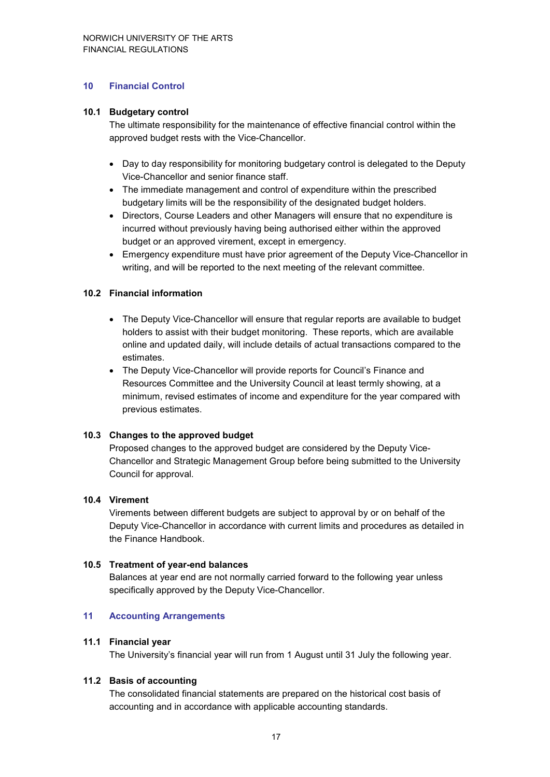#### **10 Financial Control**

#### **10.1 Budgetary control**

The ultimate responsibility for the maintenance of effective financial control within the approved budget rests with the Vice-Chancellor.

- Day to day responsibility for monitoring budgetary control is delegated to the Deputy Vice-Chancellor and senior finance staff.
- The immediate management and control of expenditure within the prescribed budgetary limits will be the responsibility of the designated budget holders.
- Directors, Course Leaders and other Managers will ensure that no expenditure is incurred without previously having being authorised either within the approved budget or an approved virement, except in emergency.
- Emergency expenditure must have prior agreement of the Deputy Vice-Chancellor in writing, and will be reported to the next meeting of the relevant committee.

#### **10.2 Financial information**

- The Deputy Vice-Chancellor will ensure that regular reports are available to budget holders to assist with their budget monitoring. These reports, which are available online and updated daily, will include details of actual transactions compared to the estimates.
- The Deputy Vice-Chancellor will provide reports for Council's Finance and Resources Committee and the University Council at least termly showing, at a minimum, revised estimates of income and expenditure for the year compared with previous estimates.

#### **10.3 Changes to the approved budget**

Proposed changes to the approved budget are considered by the Deputy Vice-Chancellor and Strategic Management Group before being submitted to the University Council for approval.

#### **10.4 Virement**

Virements between different budgets are subject to approval by or on behalf of the Deputy Vice-Chancellor in accordance with current limits and procedures as detailed in the Finance Handbook.

#### **10.5 Treatment of year-end balances**

Balances at year end are not normally carried forward to the following year unless specifically approved by the Deputy Vice-Chancellor.

#### **11 Accounting Arrangements**

#### **11.1 Financial year**

The University's financial year will run from 1 August until 31 July the following year.

#### **11.2 Basis of accounting**

The consolidated financial statements are prepared on the historical cost basis of accounting and in accordance with applicable accounting standards.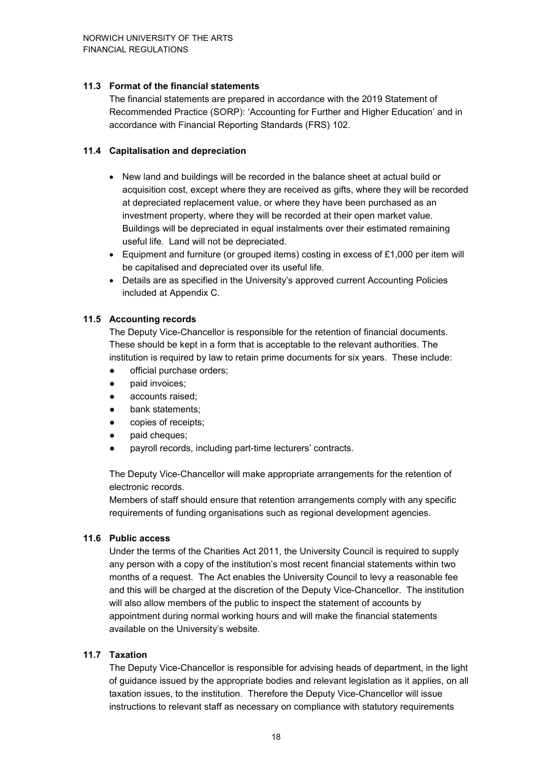#### **11.3 Format of the financial statements**

The financial statements are prepared in accordance with the 2019 Statement of Recommended Practice (SORP): 'Accounting for Further and Higher Education' and in accordance with Financial Reporting Standards (FRS) 102.

#### **11.4 Capitalisation and depreciation**

- New land and buildings will be recorded in the balance sheet at actual build or acquisition cost, except where they are received as gifts, where they will be recorded at depreciated replacement value, or where they have been purchased as an investment property, where they will be recorded at their open market value. Buildings will be depreciated in equal instalments over their estimated remaining useful life. Land will not be depreciated.
- Equipment and furniture (or grouped items) costing in excess of £1,000 per item will be capitalised and depreciated over its useful life.
- Details are as specified in the University's approved current Accounting Policies included at Appendix C.

#### **11.5 Accounting records**

The Deputy Vice-Chancellor is responsible for the retention of financial documents. These should be kept in a form that is acceptable to the relevant authorities. The institution is required by law to retain prime documents for six years. These include:

- official purchase orders:
- paid invoices;
- accounts raised;
- bank statements;
- copies of receipts;
- paid cheques;
- payroll records, including part-time lecturers' contracts.

The Deputy Vice-Chancellor will make appropriate arrangements for the retention of electronic records.

Members of staff should ensure that retention arrangements comply with any specific requirements of funding organisations such as regional development agencies.

#### **11.6 Public access**

Under the terms of the Charities Act 2011, the University Council is required to supply any person with a copy of the institution's most recent financial statements within two months of a request. The Act enables the University Council to levy a reasonable fee and this will be charged at the discretion of the Deputy Vice-Chancellor. The institution will also allow members of the public to inspect the statement of accounts by appointment during normal working hours and will make the financial statements available on the University's website.

#### **11.7 Taxation**

The Deputy Vice-Chancellor is responsible for advising heads of department, in the light of guidance issued by the appropriate bodies and relevant legislation as it applies, on all taxation issues, to the institution. Therefore the Deputy Vice-Chancellor will issue instructions to relevant staff as necessary on compliance with statutory requirements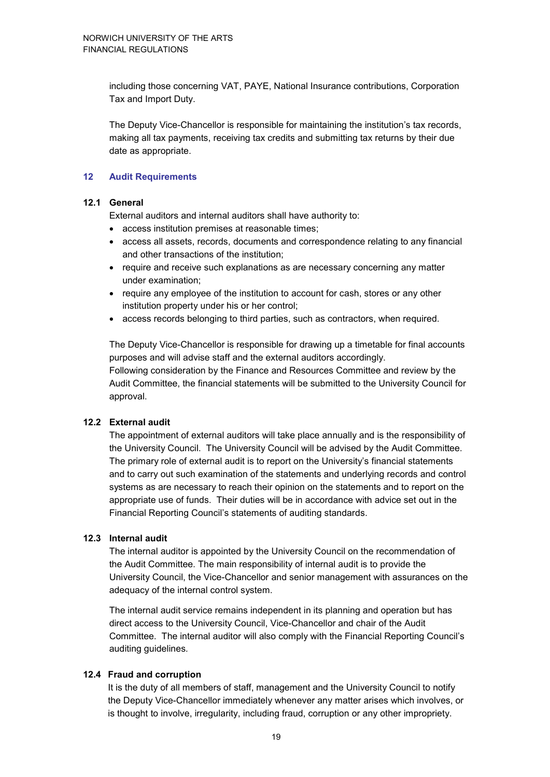including those concerning VAT, PAYE, National Insurance contributions, Corporation Tax and Import Duty.

The Deputy Vice-Chancellor is responsible for maintaining the institution's tax records, making all tax payments, receiving tax credits and submitting tax returns by their due date as appropriate.

#### **12 Audit Requirements**

#### **12.1 General**

External auditors and internal auditors shall have authority to:

- access institution premises at reasonable times;
- access all assets, records, documents and correspondence relating to any financial and other transactions of the institution;
- require and receive such explanations as are necessary concerning any matter under examination;
- require any employee of the institution to account for cash, stores or any other institution property under his or her control;
- access records belonging to third parties, such as contractors, when required.

The Deputy Vice-Chancellor is responsible for drawing up a timetable for final accounts purposes and will advise staff and the external auditors accordingly. Following consideration by the Finance and Resources Committee and review by the Audit Committee, the financial statements will be submitted to the University Council for approval.

#### **12.2 External audit**

The appointment of external auditors will take place annually and is the responsibility of the University Council. The University Council will be advised by the Audit Committee. The primary role of external audit is to report on the University's financial statements and to carry out such examination of the statements and underlying records and control systems as are necessary to reach their opinion on the statements and to report on the appropriate use of funds. Their duties will be in accordance with advice set out in the Financial Reporting Council's statements of auditing standards.

#### **12.3 Internal audit**

The internal auditor is appointed by the University Council on the recommendation of the Audit Committee. The main responsibility of internal audit is to provide the University Council, the Vice-Chancellor and senior management with assurances on the adequacy of the internal control system.

The internal audit service remains independent in its planning and operation but has direct access to the University Council, Vice-Chancellor and chair of the Audit Committee. The internal auditor will also comply with the Financial Reporting Council's auditing guidelines*.* 

#### **12.4 Fraud and corruption**

It is the duty of all members of staff, management and the University Council to notify the Deputy Vice-Chancellor immediately whenever any matter arises which involves, or is thought to involve, irregularity, including fraud, corruption or any other impropriety.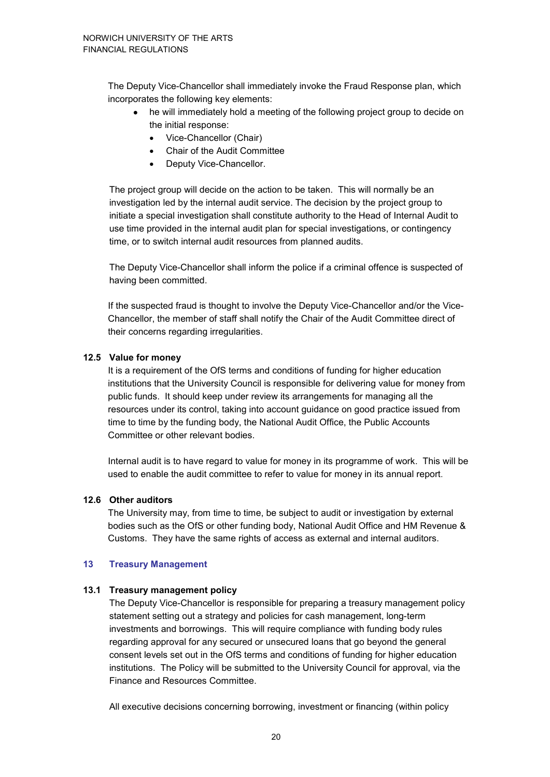The Deputy Vice-Chancellor shall immediately invoke the Fraud Response plan, which incorporates the following key elements:

- he will immediately hold a meeting of the following project group to decide on the initial response:
	- Vice-Chancellor (Chair)
	- Chair of the Audit Committee
	- Deputy Vice-Chancellor.

The project group will decide on the action to be taken. This will normally be an investigation led by the internal audit service. The decision by the project group to initiate a special investigation shall constitute authority to the Head of Internal Audit to use time provided in the internal audit plan for special investigations, or contingency time, or to switch internal audit resources from planned audits.

The Deputy Vice-Chancellor shall inform the police if a criminal offence is suspected of having been committed.

If the suspected fraud is thought to involve the Deputy Vice-Chancellor and/or the Vice-Chancellor, the member of staff shall notify the Chair of the Audit Committee direct of their concerns regarding irregularities.

#### **12.5 Value for money**

It is a requirement of the OfS terms and conditions of funding for higher education institutions that the University Council is responsible for delivering value for money from public funds. It should keep under review its arrangements for managing all the resources under its control, taking into account guidance on good practice issued from time to time by the funding body, the National Audit Office, the Public Accounts Committee or other relevant bodies.

Internal audit is to have regard to value for money in its programme of work. This will be used to enable the audit committee to refer to value for money in its annual report.

#### **12.6 Other auditors**

The University may, from time to time, be subject to audit or investigation by external bodies such as the OfS or other funding body, National Audit Office and HM Revenue & Customs. They have the same rights of access as external and internal auditors.

#### **13 Treasury Management**

#### **13.1 Treasury management policy**

The Deputy Vice-Chancellor is responsible for preparing a treasury management policy statement setting out a strategy and policies for cash management, long-term investments and borrowings. This will require compliance with funding body rules regarding approval for any secured or unsecured loans that go beyond the general consent levels set out in the OfS terms and conditions of funding for higher education institutions. The Policy will be submitted to the University Council for approval, via the Finance and Resources Committee.

All executive decisions concerning borrowing, investment or financing (within policy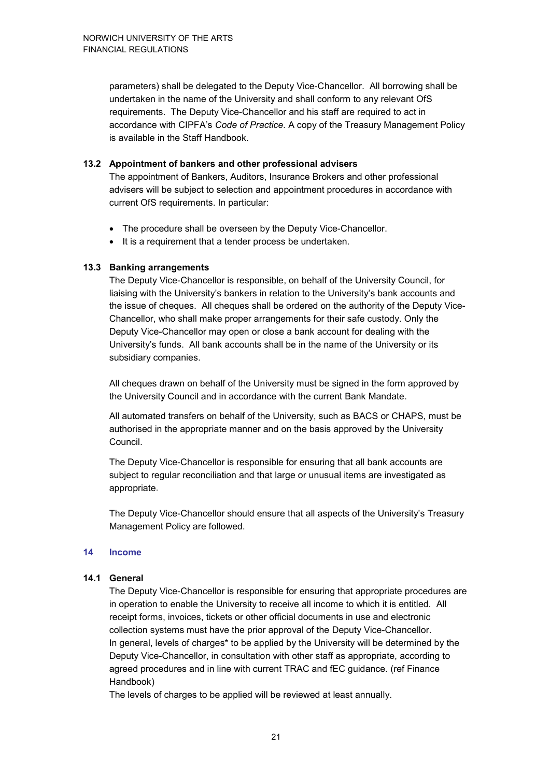parameters) shall be delegated to the Deputy Vice-Chancellor. All borrowing shall be undertaken in the name of the University and shall conform to any relevant OfS requirements. The Deputy Vice-Chancellor and his staff are required to act in accordance with CIPFA's *Code of Practice*. A copy of the Treasury Management Policy is available in the Staff Handbook.

#### **13.2 Appointment of bankers and other professional advisers**

The appointment of Bankers, Auditors, Insurance Brokers and other professional advisers will be subject to selection and appointment procedures in accordance with current OfS requirements. In particular:

- The procedure shall be overseen by the Deputy Vice-Chancellor.
- It is a requirement that a tender process be undertaken.

#### **13.3 Banking arrangements**

The Deputy Vice-Chancellor is responsible, on behalf of the University Council, for liaising with the University's bankers in relation to the University's bank accounts and the issue of cheques. All cheques shall be ordered on the authority of the Deputy Vice-Chancellor, who shall make proper arrangements for their safe custody. Only the Deputy Vice-Chancellor may open or close a bank account for dealing with the University's funds. All bank accounts shall be in the name of the University or its subsidiary companies.

All cheques drawn on behalf of the University must be signed in the form approved by the University Council and in accordance with the current Bank Mandate.

All automated transfers on behalf of the University, such as BACS or CHAPS, must be authorised in the appropriate manner and on the basis approved by the University Council.

The Deputy Vice-Chancellor is responsible for ensuring that all bank accounts are subject to regular reconciliation and that large or unusual items are investigated as appropriate.

The Deputy Vice-Chancellor should ensure that all aspects of the University's Treasury Management Policy are followed.

#### **14 Income**

#### **14.1 General**

The Deputy Vice-Chancellor is responsible for ensuring that appropriate procedures are in operation to enable the University to receive all income to which it is entitled. All receipt forms, invoices, tickets or other official documents in use and electronic collection systems must have the prior approval of the Deputy Vice-Chancellor. In general, levels of charges\* to be applied by the University will be determined by the Deputy Vice-Chancellor, in consultation with other staff as appropriate, according to agreed procedures and in line with current TRAC and fEC guidance. (ref Finance Handbook)

The levels of charges to be applied will be reviewed at least annually.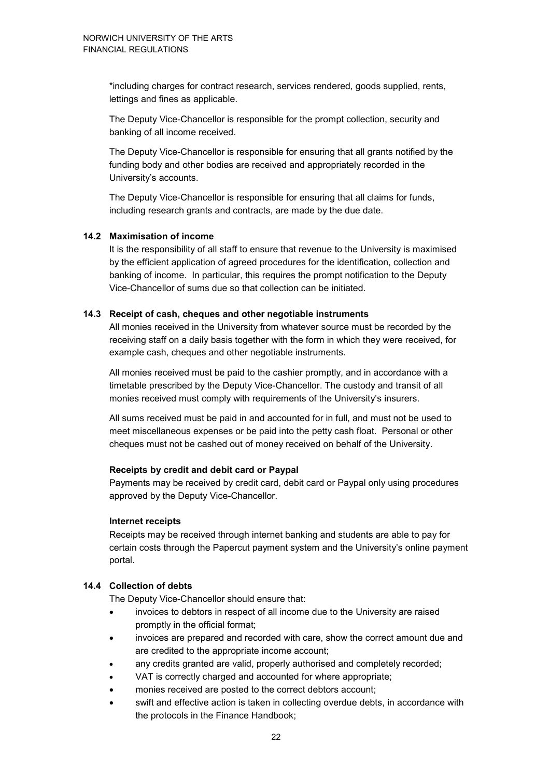\*including charges for contract research, services rendered, goods supplied, rents, lettings and fines as applicable.

The Deputy Vice-Chancellor is responsible for the prompt collection, security and banking of all income received.

The Deputy Vice-Chancellor is responsible for ensuring that all grants notified by the funding body and other bodies are received and appropriately recorded in the University's accounts.

The Deputy Vice-Chancellor is responsible for ensuring that all claims for funds, including research grants and contracts, are made by the due date.

#### **14.2 Maximisation of income**

It is the responsibility of all staff to ensure that revenue to the University is maximised by the efficient application of agreed procedures for the identification, collection and banking of income. In particular, this requires the prompt notification to the Deputy Vice-Chancellor of sums due so that collection can be initiated.

#### **14.3 Receipt of cash, cheques and other negotiable instruments**

All monies received in the University from whatever source must be recorded by the receiving staff on a daily basis together with the form in which they were received, for example cash, cheques and other negotiable instruments.

All monies received must be paid to the cashier promptly, and in accordance with a timetable prescribed by the Deputy Vice-Chancellor. The custody and transit of all monies received must comply with requirements of the University's insurers.

All sums received must be paid in and accounted for in full, and must not be used to meet miscellaneous expenses or be paid into the petty cash float. Personal or other cheques must not be cashed out of money received on behalf of the University.

#### **Receipts by credit and debit card or Paypal**

Payments may be received by credit card, debit card or Paypal only using procedures approved by the Deputy Vice-Chancellor.

#### **Internet receipts**

Receipts may be received through internet banking and students are able to pay for certain costs through the Papercut payment system and the University's online payment portal.

#### **14.4 Collection of debts**

The Deputy Vice-Chancellor should ensure that:

- invoices to debtors in respect of all income due to the University are raised promptly in the official format;
- invoices are prepared and recorded with care, show the correct amount due and are credited to the appropriate income account;
- any credits granted are valid, properly authorised and completely recorded;
- VAT is correctly charged and accounted for where appropriate;
- monies received are posted to the correct debtors account;
- swift and effective action is taken in collecting overdue debts, in accordance with the protocols in the Finance Handbook;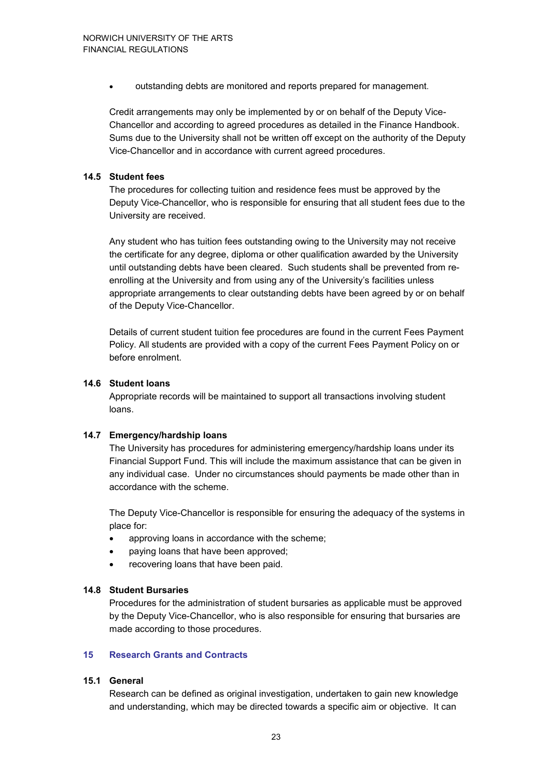• outstanding debts are monitored and reports prepared for management.

Credit arrangements may only be implemented by or on behalf of the Deputy Vice-Chancellor and according to agreed procedures as detailed in the Finance Handbook. Sums due to the University shall not be written off except on the authority of the Deputy Vice-Chancellor and in accordance with current agreed procedures.

#### **14.5 Student fees**

The procedures for collecting tuition and residence fees must be approved by the Deputy Vice-Chancellor, who is responsible for ensuring that all student fees due to the University are received.

Any student who has tuition fees outstanding owing to the University may not receive the certificate for any degree, diploma or other qualification awarded by the University until outstanding debts have been cleared. Such students shall be prevented from reenrolling at the University and from using any of the University's facilities unless appropriate arrangements to clear outstanding debts have been agreed by or on behalf of the Deputy Vice-Chancellor.

Details of current student tuition fee procedures are found in the current Fees Payment Policy. All students are provided with a copy of the current Fees Payment Policy on or before enrolment.

#### **14.6 Student loans**

Appropriate records will be maintained to support all transactions involving student loans.

#### **14.7 Emergency/hardship loans**

The University has procedures for administering emergency/hardship loans under its Financial Support Fund. This will include the maximum assistance that can be given in any individual case. Under no circumstances should payments be made other than in accordance with the scheme.

The Deputy Vice-Chancellor is responsible for ensuring the adequacy of the systems in place for:

- approving loans in accordance with the scheme;
- paying loans that have been approved;
- recovering loans that have been paid.

#### **14.8 Student Bursaries**

Procedures for the administration of student bursaries as applicable must be approved by the Deputy Vice-Chancellor, who is also responsible for ensuring that bursaries are made according to those procedures.

#### **15 Research Grants and Contracts**

#### **15.1 General**

Research can be defined as original investigation, undertaken to gain new knowledge and understanding, which may be directed towards a specific aim or objective. It can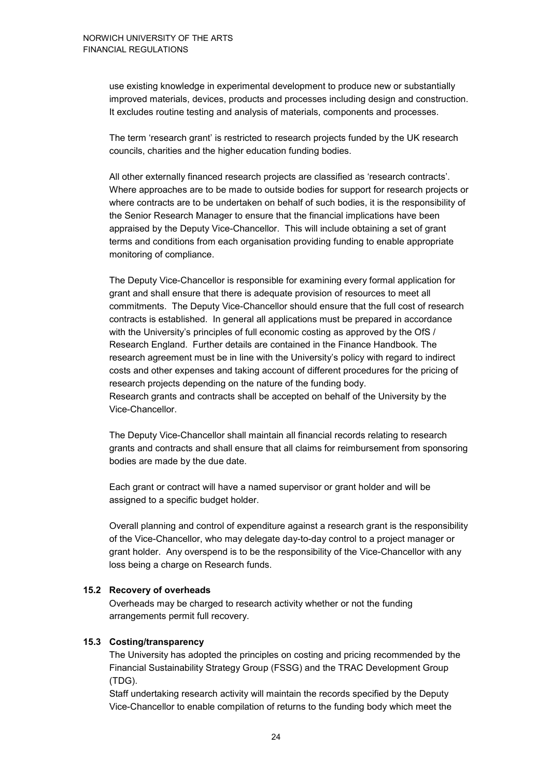use existing knowledge in experimental development to produce new or substantially improved materials, devices, products and processes including design and construction. It excludes routine testing and analysis of materials, components and processes.

The term 'research grant' is restricted to research projects funded by the UK research councils, charities and the higher education funding bodies.

All other externally financed research projects are classified as 'research contracts'. Where approaches are to be made to outside bodies for support for research projects or where contracts are to be undertaken on behalf of such bodies, it is the responsibility of the Senior Research Manager to ensure that the financial implications have been appraised by the Deputy Vice-Chancellor. This will include obtaining a set of grant terms and conditions from each organisation providing funding to enable appropriate monitoring of compliance.

The Deputy Vice-Chancellor is responsible for examining every formal application for grant and shall ensure that there is adequate provision of resources to meet all commitments. The Deputy Vice-Chancellor should ensure that the full cost of research contracts is established. In general all applications must be prepared in accordance with the University's principles of full economic costing as approved by the OfS / Research England. Further details are contained in the Finance Handbook. The research agreement must be in line with the University's policy with regard to indirect costs and other expenses and taking account of different procedures for the pricing of research projects depending on the nature of the funding body. Research grants and contracts shall be accepted on behalf of the University by the Vice-Chancellor.

The Deputy Vice-Chancellor shall maintain all financial records relating to research grants and contracts and shall ensure that all claims for reimbursement from sponsoring bodies are made by the due date.

Each grant or contract will have a named supervisor or grant holder and will be assigned to a specific budget holder.

Overall planning and control of expenditure against a research grant is the responsibility of the Vice-Chancellor, who may delegate day-to-day control to a project manager or grant holder. Any overspend is to be the responsibility of the Vice-Chancellor with any loss being a charge on Research funds.

#### **15.2 Recovery of overheads**

Overheads may be charged to research activity whether or not the funding arrangements permit full recovery.

#### **15.3 Costing/transparency**

The University has adopted the principles on costing and pricing recommended by the Financial Sustainability Strategy Group (FSSG) and the TRAC Development Group (TDG).

Staff undertaking research activity will maintain the records specified by the Deputy Vice-Chancellor to enable compilation of returns to the funding body which meet the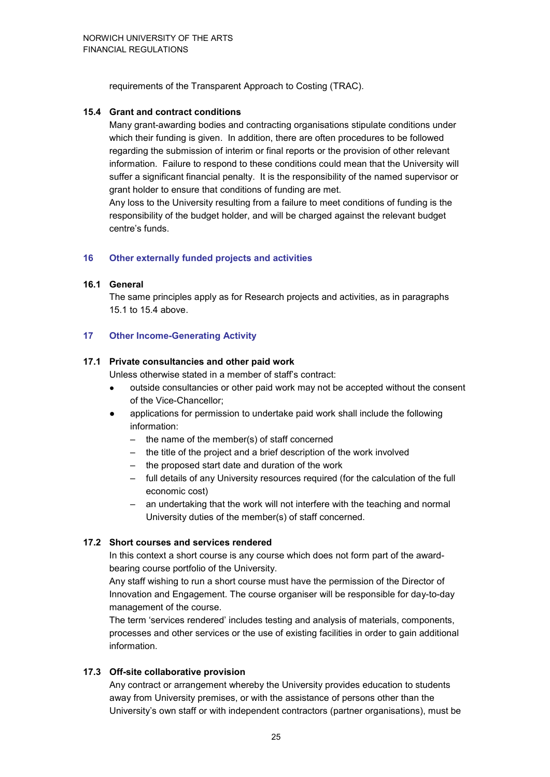requirements of the Transparent Approach to Costing (TRAC).

#### **15.4 Grant and contract conditions**

Many grant-awarding bodies and contracting organisations stipulate conditions under which their funding is given. In addition, there are often procedures to be followed regarding the submission of interim or final reports or the provision of other relevant information. Failure to respond to these conditions could mean that the University will suffer a significant financial penalty. It is the responsibility of the named supervisor or grant holder to ensure that conditions of funding are met.

Any loss to the University resulting from a failure to meet conditions of funding is the responsibility of the budget holder, and will be charged against the relevant budget centre's funds.

#### **16 Other externally funded projects and activities**

#### **16.1 General**

The same principles apply as for Research projects and activities, as in paragraphs 15.1 to 15.4 above.

#### **17 Other Income-Generating Activity**

#### **17.1 Private consultancies and other paid work**

Unless otherwise stated in a member of staff's contract:

- outside consultancies or other paid work may not be accepted without the consent of the Vice-Chancellor;
- applications for permission to undertake paid work shall include the following information:
	- the name of the member(s) of staff concerned
	- the title of the project and a brief description of the work involved
	- the proposed start date and duration of the work
	- full details of any University resources required (for the calculation of the full economic cost)
	- an undertaking that the work will not interfere with the teaching and normal University duties of the member(s) of staff concerned.

#### **17.2 Short courses and services rendered**

In this context a short course is any course which does not form part of the awardbearing course portfolio of the University.

Any staff wishing to run a short course must have the permission of the Director of Innovation and Engagement. The course organiser will be responsible for day-to-day management of the course.

The term 'services rendered' includes testing and analysis of materials, components, processes and other services or the use of existing facilities in order to gain additional information.

#### **17.3 Off-site collaborative provision**

Any contract or arrangement whereby the University provides education to students away from University premises, or with the assistance of persons other than the University's own staff or with independent contractors (partner organisations), must be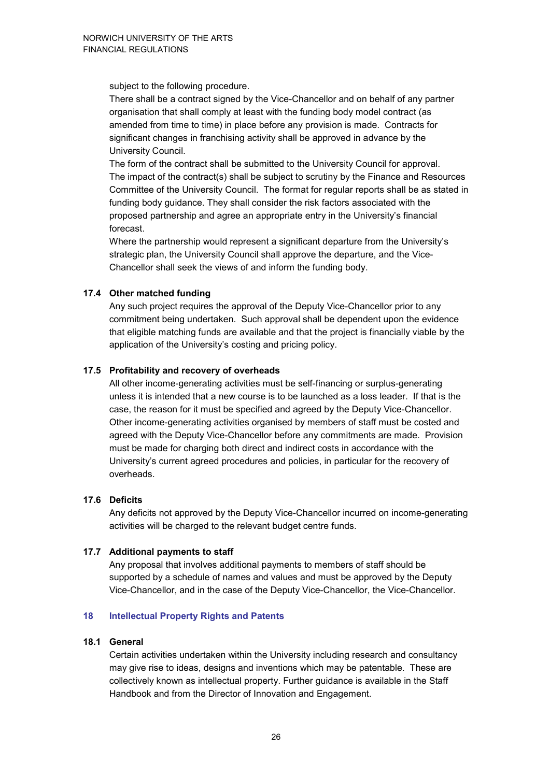subject to the following procedure.

There shall be a contract signed by the Vice-Chancellor and on behalf of any partner organisation that shall comply at least with the funding body model contract (as amended from time to time) in place before any provision is made. Contracts for significant changes in franchising activity shall be approved in advance by the University Council.

The form of the contract shall be submitted to the University Council for approval. The impact of the contract(s) shall be subject to scrutiny by the Finance and Resources Committee of the University Council. The format for regular reports shall be as stated in funding body guidance. They shall consider the risk factors associated with the proposed partnership and agree an appropriate entry in the University's financial forecast.

Where the partnership would represent a significant departure from the University's strategic plan, the University Council shall approve the departure, and the Vice-Chancellor shall seek the views of and inform the funding body.

#### **17.4 Other matched funding**

Any such project requires the approval of the Deputy Vice-Chancellor prior to any commitment being undertaken. Such approval shall be dependent upon the evidence that eligible matching funds are available and that the project is financially viable by the application of the University's costing and pricing policy.

#### **17.5 Profitability and recovery of overheads**

All other income-generating activities must be self-financing or surplus-generating unless it is intended that a new course is to be launched as a loss leader. If that is the case, the reason for it must be specified and agreed by the Deputy Vice-Chancellor. Other income-generating activities organised by members of staff must be costed and agreed with the Deputy Vice-Chancellor before any commitments are made. Provision must be made for charging both direct and indirect costs in accordance with the University's current agreed procedures and policies, in particular for the recovery of overheads.

#### **17.6 Deficits**

Any deficits not approved by the Deputy Vice-Chancellor incurred on income-generating activities will be charged to the relevant budget centre funds.

#### **17.7 Additional payments to staff**

Any proposal that involves additional payments to members of staff should be supported by a schedule of names and values and must be approved by the Deputy Vice-Chancellor, and in the case of the Deputy Vice-Chancellor, the Vice-Chancellor.

#### **18 Intellectual Property Rights and Patents**

#### **18.1 General**

Certain activities undertaken within the University including research and consultancy may give rise to ideas, designs and inventions which may be patentable. These are collectively known as intellectual property. Further guidance is available in the Staff Handbook and from the Director of Innovation and Engagement.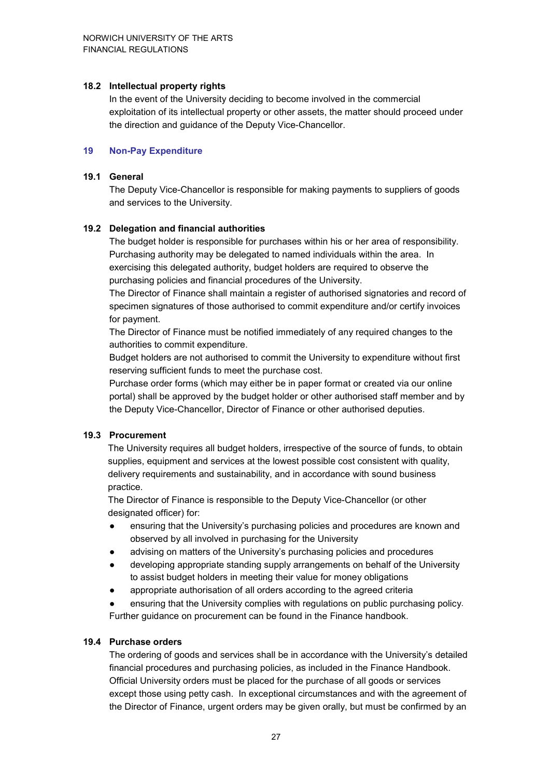#### **18.2 Intellectual property rights**

In the event of the University deciding to become involved in the commercial exploitation of its intellectual property or other assets, the matter should proceed under the direction and guidance of the Deputy Vice-Chancellor.

#### **19 Non-Pay Expenditure**

#### **19.1 General**

The Deputy Vice-Chancellor is responsible for making payments to suppliers of goods and services to the University.

#### **19.2 Delegation and financial authorities**

The budget holder is responsible for purchases within his or her area of responsibility. Purchasing authority may be delegated to named individuals within the area. In exercising this delegated authority, budget holders are required to observe the purchasing policies and financial procedures of the University.

The Director of Finance shall maintain a register of authorised signatories and record of specimen signatures of those authorised to commit expenditure and/or certify invoices for payment.

The Director of Finance must be notified immediately of any required changes to the authorities to commit expenditure.

Budget holders are not authorised to commit the University to expenditure without first reserving sufficient funds to meet the purchase cost.

Purchase order forms (which may either be in paper format or created via our online portal) shall be approved by the budget holder or other authorised staff member and by the Deputy Vice-Chancellor, Director of Finance or other authorised deputies.

#### **19.3 Procurement**

The University requires all budget holders, irrespective of the source of funds, to obtain supplies, equipment and services at the lowest possible cost consistent with quality, delivery requirements and sustainability, and in accordance with sound business practice.

The Director of Finance is responsible to the Deputy Vice-Chancellor (or other designated officer) for:

- ensuring that the University's purchasing policies and procedures are known and observed by all involved in purchasing for the University
- advising on matters of the University's purchasing policies and procedures
- developing appropriate standing supply arrangements on behalf of the University to assist budget holders in meeting their value for money obligations
- appropriate authorisation of all orders according to the agreed criteria
- ensuring that the University complies with regulations on public purchasing policy. Further guidance on procurement can be found in the Finance handbook.

#### **19.4 Purchase orders**

The ordering of goods and services shall be in accordance with the University's detailed financial procedures and purchasing policies, as included in the Finance Handbook. Official University orders must be placed for the purchase of all goods or services except those using petty cash. In exceptional circumstances and with the agreement of the Director of Finance, urgent orders may be given orally, but must be confirmed by an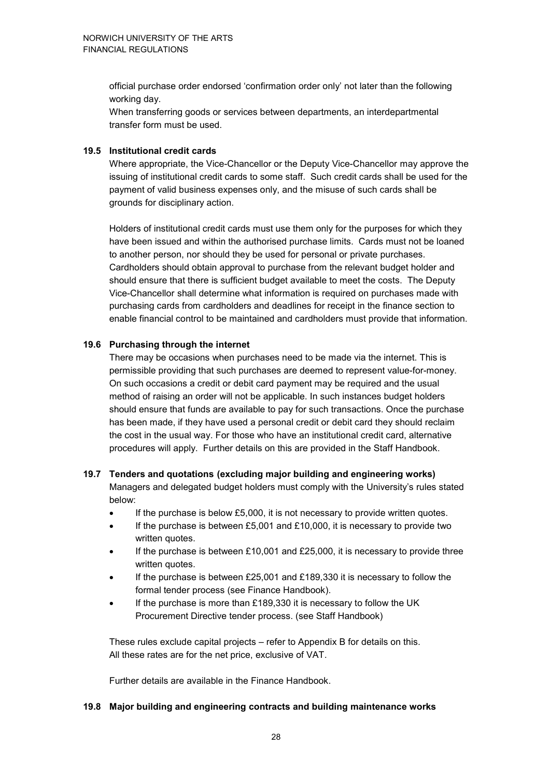official purchase order endorsed 'confirmation order only' not later than the following working day.

When transferring goods or services between departments, an interdepartmental transfer form must be used.

#### **19.5 Institutional credit cards**

Where appropriate, the Vice-Chancellor or the Deputy Vice-Chancellor may approve the issuing of institutional credit cards to some staff. Such credit cards shall be used for the payment of valid business expenses only, and the misuse of such cards shall be grounds for disciplinary action.

Holders of institutional credit cards must use them only for the purposes for which they have been issued and within the authorised purchase limits. Cards must not be loaned to another person, nor should they be used for personal or private purchases. Cardholders should obtain approval to purchase from the relevant budget holder and should ensure that there is sufficient budget available to meet the costs. The Deputy Vice-Chancellor shall determine what information is required on purchases made with purchasing cards from cardholders and deadlines for receipt in the finance section to enable financial control to be maintained and cardholders must provide that information.

#### **19.6 Purchasing through the internet**

There may be occasions when purchases need to be made via the internet. This is permissible providing that such purchases are deemed to represent value-for-money. On such occasions a credit or debit card payment may be required and the usual method of raising an order will not be applicable. In such instances budget holders should ensure that funds are available to pay for such transactions. Once the purchase has been made, if they have used a personal credit or debit card they should reclaim the cost in the usual way. For those who have an institutional credit card, alternative procedures will apply. Further details on this are provided in the Staff Handbook.

### **19.7 Tenders and quotations (excluding major building and engineering works)**

Managers and delegated budget holders must comply with the University's rules stated below:

- If the purchase is below £5,000, it is not necessary to provide written quotes.
- If the purchase is between £5,001 and £10,000, it is necessary to provide two written quotes.
- If the purchase is between  $£10,001$  and  $£25,000$ , it is necessary to provide three written quotes.
- If the purchase is between  $£25,001$  and  $£189,330$  it is necessary to follow the formal tender process (see Finance Handbook).
- If the purchase is more than £189,330 it is necessary to follow the UK Procurement Directive tender process. (see Staff Handbook)

These rules exclude capital projects – refer to Appendix B for details on this. All these rates are for the net price, exclusive of VAT.

Further details are available in the Finance Handbook.

#### **19.8 Major building and engineering contracts and building maintenance works**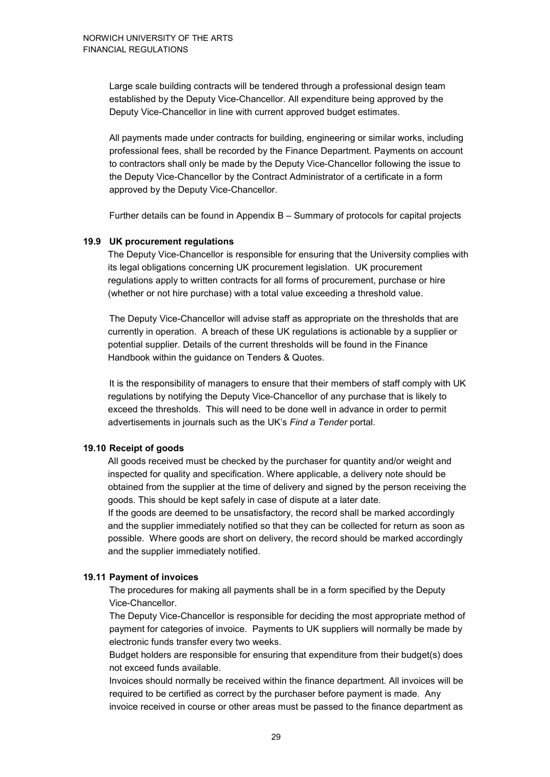Large scale building contracts will be tendered through a professional design team established by the Deputy Vice-Chancellor. All expenditure being approved by the Deputy Vice-Chancellor in line with current approved budget estimates.

All payments made under contracts for building, engineering or similar works, including professional fees, shall be recorded by the Finance Department. Payments on account to contractors shall only be made by the Deputy Vice-Chancellor following the issue to the Deputy Vice-Chancellor by the Contract Administrator of a certificate in a form approved by the Deputy Vice-Chancellor.

Further details can be found in Appendix B – Summary of protocols for capital projects

#### **19.9 UK procurement regulations**

The Deputy Vice-Chancellor is responsible for ensuring that the University complies with its legal obligations concerning UK procurement legislation. UK procurement regulations apply to written contracts for all forms of procurement, purchase or hire (whether or not hire purchase) with a total value exceeding a threshold value.

The Deputy Vice-Chancellor will advise staff as appropriate on the thresholds that are currently in operation. A breach of these UK regulations is actionable by a supplier or potential supplier. Details of the current thresholds will be found in the Finance Handbook within the guidance on Tenders & Quotes.

It is the responsibility of managers to ensure that their members of staff comply with UK regulations by notifying the Deputy Vice-Chancellor of any purchase that is likely to exceed the thresholds. This will need to be done well in advance in order to permit advertisements in journals such as the UK's *Find a Tender* portal.

#### **19.10 Receipt of goods**

All goods received must be checked by the purchaser for quantity and/or weight and inspected for quality and specification. Where applicable, a delivery note should be obtained from the supplier at the time of delivery and signed by the person receiving the goods. This should be kept safely in case of dispute at a later date. If the goods are deemed to be unsatisfactory, the record shall be marked accordingly and the supplier immediately notified so that they can be collected for return as soon as possible. Where goods are short on delivery, the record should be marked accordingly and the supplier immediately notified.

#### **19.11 Payment of invoices**

The procedures for making all payments shall be in a form specified by the Deputy Vice-Chancellor.

The Deputy Vice-Chancellor is responsible for deciding the most appropriate method of payment for categories of invoice. Payments to UK suppliers will normally be made by electronic funds transfer every two weeks.

Budget holders are responsible for ensuring that expenditure from their budget(s) does not exceed funds available.

Invoices should normally be received within the finance department. All invoices will be required to be certified as correct by the purchaser before payment is made. Any invoice received in course or other areas must be passed to the finance department as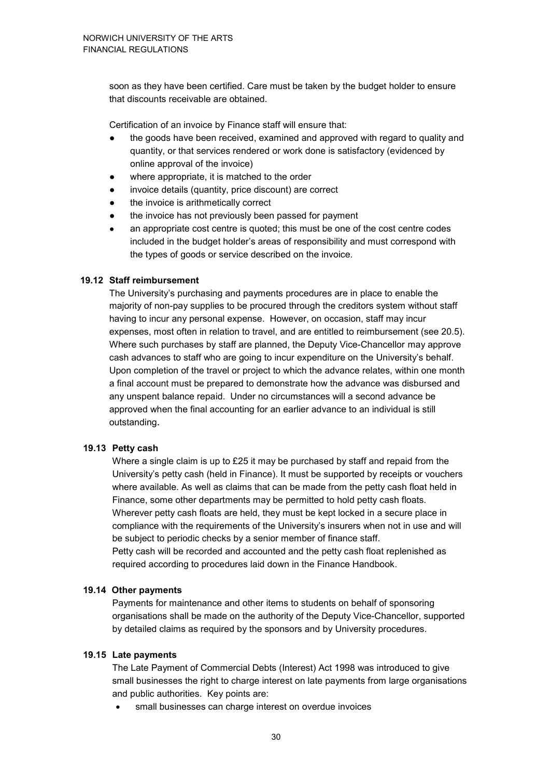soon as they have been certified. Care must be taken by the budget holder to ensure that discounts receivable are obtained.

Certification of an invoice by Finance staff will ensure that:

- the goods have been received, examined and approved with regard to quality and quantity, or that services rendered or work done is satisfactory (evidenced by online approval of the invoice)
- where appropriate, it is matched to the order
- invoice details (quantity, price discount) are correct
- the invoice is arithmetically correct
- the invoice has not previously been passed for payment
- an appropriate cost centre is quoted; this must be one of the cost centre codes included in the budget holder's areas of responsibility and must correspond with the types of goods or service described on the invoice.

#### **19.12 Staff reimbursement**

The University's purchasing and payments procedures are in place to enable the majority of non-pay supplies to be procured through the creditors system without staff having to incur any personal expense. However, on occasion, staff may incur expenses, most often in relation to travel, and are entitled to reimbursement (see 20.5). Where such purchases by staff are planned, the Deputy Vice-Chancellor may approve cash advances to staff who are going to incur expenditure on the University's behalf. Upon completion of the travel or project to which the advance relates, within one month a final account must be prepared to demonstrate how the advance was disbursed and any unspent balance repaid. Under no circumstances will a second advance be approved when the final accounting for an earlier advance to an individual is still outstanding.

#### **19.13 Petty cash**

Where a single claim is up to £25 it may be purchased by staff and repaid from the University's petty cash (held in Finance). It must be supported by receipts or vouchers where available. As well as claims that can be made from the petty cash float held in Finance, some other departments may be permitted to hold petty cash floats. Wherever petty cash floats are held, they must be kept locked in a secure place in compliance with the requirements of the University's insurers when not in use and will be subject to periodic checks by a senior member of finance staff. Petty cash will be recorded and accounted and the petty cash float replenished as required according to procedures laid down in the Finance Handbook.

#### **19.14 Other payments**

Payments for maintenance and other items to students on behalf of sponsoring organisations shall be made on the authority of the Deputy Vice-Chancellor, supported by detailed claims as required by the sponsors and by University procedures.

#### **19.15 Late payments**

The Late Payment of Commercial Debts (Interest) Act 1998 was introduced to give small businesses the right to charge interest on late payments from large organisations and public authorities. Key points are:

small businesses can charge interest on overdue invoices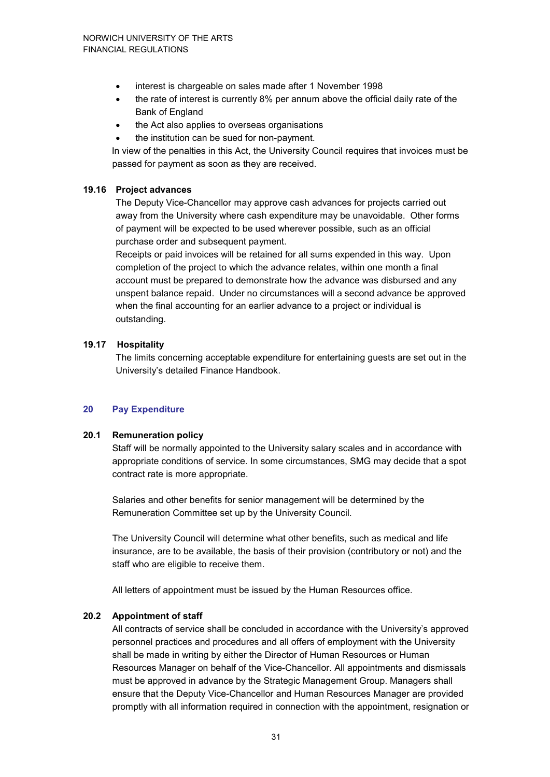- interest is chargeable on sales made after 1 November 1998
- the rate of interest is currently 8% per annum above the official daily rate of the Bank of England
- the Act also applies to overseas organisations
- the institution can be sued for non-payment.

In view of the penalties in this Act, the University Council requires that invoices must be passed for payment as soon as they are received.

#### **19.16 Project advances**

The Deputy Vice-Chancellor may approve cash advances for projects carried out away from the University where cash expenditure may be unavoidable. Other forms of payment will be expected to be used wherever possible, such as an official purchase order and subsequent payment.

Receipts or paid invoices will be retained for all sums expended in this way. Upon completion of the project to which the advance relates, within one month a final account must be prepared to demonstrate how the advance was disbursed and any unspent balance repaid. Under no circumstances will a second advance be approved when the final accounting for an earlier advance to a project or individual is outstanding.

#### **19.17 Hospitality**

The limits concerning acceptable expenditure for entertaining guests are set out in the University's detailed Finance Handbook.

#### **20 Pay Expenditure**

#### **20.1 Remuneration policy**

Staff will be normally appointed to the University salary scales and in accordance with appropriate conditions of service. In some circumstances, SMG may decide that a spot contract rate is more appropriate.

Salaries and other benefits for senior management will be determined by the Remuneration Committee set up by the University Council.

The University Council will determine what other benefits, such as medical and life insurance, are to be available, the basis of their provision (contributory or not) and the staff who are eligible to receive them.

All letters of appointment must be issued by the Human Resources office.

#### **20.2 Appointment of staff**

All contracts of service shall be concluded in accordance with the University's approved personnel practices and procedures and all offers of employment with the University shall be made in writing by either the Director of Human Resources or Human Resources Manager on behalf of the Vice-Chancellor. All appointments and dismissals must be approved in advance by the Strategic Management Group. Managers shall ensure that the Deputy Vice-Chancellor and Human Resources Manager are provided promptly with all information required in connection with the appointment, resignation or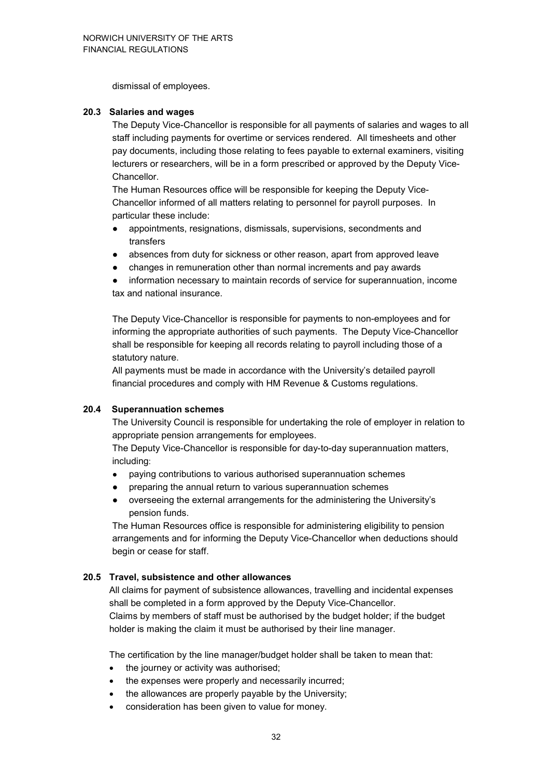dismissal of employees.

#### **20.3 Salaries and wages**

The Deputy Vice-Chancellor is responsible for all payments of salaries and wages to all staff including payments for overtime or services rendered. All timesheets and other pay documents, including those relating to fees payable to external examiners, visiting lecturers or researchers, will be in a form prescribed or approved by the Deputy Vice-Chancellor.

The Human Resources office will be responsible for keeping the Deputy Vice-Chancellor informed of all matters relating to personnel for payroll purposes. In particular these include:

- appointments, resignations, dismissals, supervisions, secondments and transfers
- absences from duty for sickness or other reason, apart from approved leave
- changes in remuneration other than normal increments and pay awards
- information necessary to maintain records of service for superannuation, income tax and national insurance.

The Deputy Vice-Chancellor is responsible for payments to non-employees and for informing the appropriate authorities of such payments. The Deputy Vice-Chancellor shall be responsible for keeping all records relating to payroll including those of a statutory nature.

All payments must be made in accordance with the University's detailed payroll financial procedures and comply with HM Revenue & Customs regulations.

#### **20.4 Superannuation schemes**

The University Council is responsible for undertaking the role of employer in relation to appropriate pension arrangements for employees.

The Deputy Vice-Chancellor is responsible for day-to-day superannuation matters, including:

- paying contributions to various authorised superannuation schemes
- preparing the annual return to various superannuation schemes
- overseeing the external arrangements for the administering the University's pension funds.

The Human Resources office is responsible for administering eligibility to pension arrangements and for informing the Deputy Vice-Chancellor when deductions should begin or cease for staff.

#### **20.5 Travel, subsistence and other allowances**

All claims for payment of subsistence allowances, travelling and incidental expenses shall be completed in a form approved by the Deputy Vice-Chancellor. Claims by members of staff must be authorised by the budget holder; if the budget holder is making the claim it must be authorised by their line manager.

The certification by the line manager/budget holder shall be taken to mean that:

- the journey or activity was authorised;
- the expenses were properly and necessarily incurred;
- the allowances are properly payable by the University;
- consideration has been given to value for money.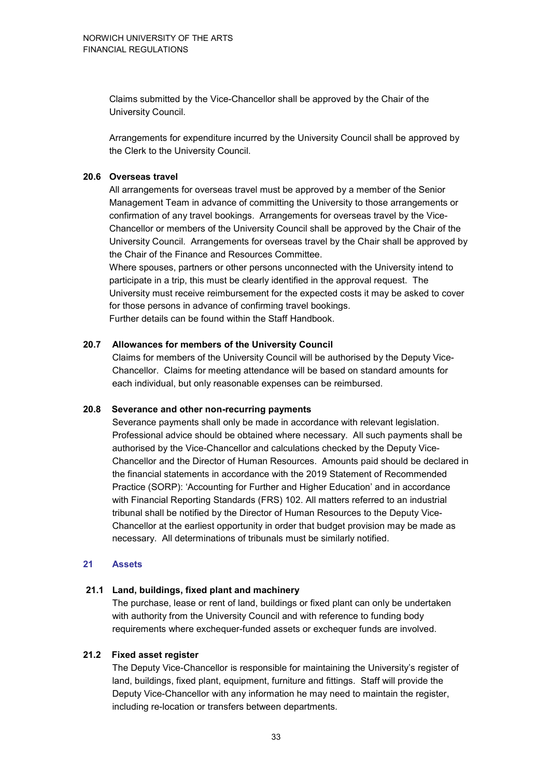Claims submitted by the Vice-Chancellor shall be approved by the Chair of the University Council.

Arrangements for expenditure incurred by the University Council shall be approved by the Clerk to the University Council.

#### **20.6 Overseas travel**

All arrangements for overseas travel must be approved by a member of the Senior Management Team in advance of committing the University to those arrangements or confirmation of any travel bookings. Arrangements for overseas travel by the Vice-Chancellor or members of the University Council shall be approved by the Chair of the University Council. Arrangements for overseas travel by the Chair shall be approved by the Chair of the Finance and Resources Committee.

Where spouses, partners or other persons unconnected with the University intend to participate in a trip, this must be clearly identified in the approval request. The University must receive reimbursement for the expected costs it may be asked to cover for those persons in advance of confirming travel bookings. Further details can be found within the Staff Handbook.

#### **20.7 Allowances for members of the University Council**

Claims for members of the University Council will be authorised by the Deputy Vice-Chancellor. Claims for meeting attendance will be based on standard amounts for each individual, but only reasonable expenses can be reimbursed.

#### **20.8 Severance and other non-recurring payments**

Severance payments shall only be made in accordance with relevant legislation. Professional advice should be obtained where necessary. All such payments shall be authorised by the Vice-Chancellor and calculations checked by the Deputy Vice-Chancellor and the Director of Human Resources. Amounts paid should be declared in the financial statements in accordance with the 2019 Statement of Recommended Practice (SORP): 'Accounting for Further and Higher Education' and in accordance with Financial Reporting Standards (FRS) 102. All matters referred to an industrial tribunal shall be notified by the Director of Human Resources to the Deputy Vice-Chancellor at the earliest opportunity in order that budget provision may be made as necessary. All determinations of tribunals must be similarly notified.

#### **21 Assets**

#### **21.1 Land, buildings, fixed plant and machinery**

The purchase, lease or rent of land, buildings or fixed plant can only be undertaken with authority from the University Council and with reference to funding body requirements where exchequer-funded assets or exchequer funds are involved.

#### **21.2 Fixed asset register**

The Deputy Vice-Chancellor is responsible for maintaining the University's register of land, buildings, fixed plant, equipment, furniture and fittings. Staff will provide the Deputy Vice-Chancellor with any information he may need to maintain the register, including re-location or transfers between departments.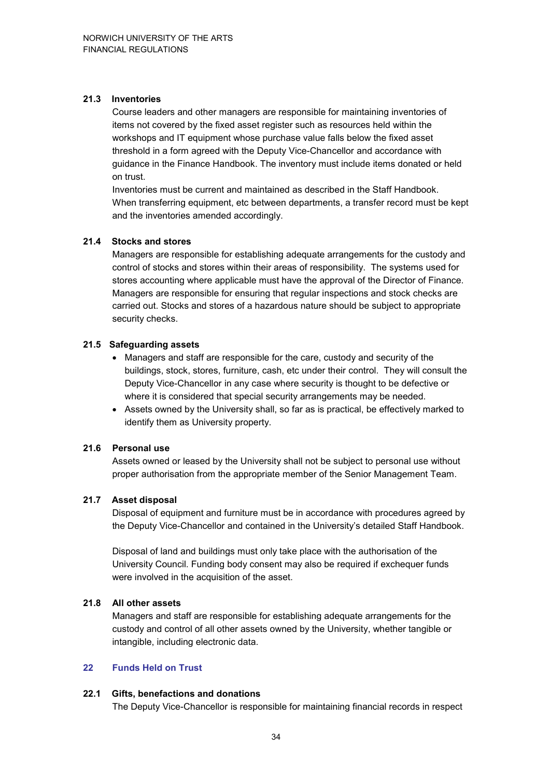#### **21.3 Inventories**

Course leaders and other managers are responsible for maintaining inventories of items not covered by the fixed asset register such as resources held within the workshops and IT equipment whose purchase value falls below the fixed asset threshold in a form agreed with the Deputy Vice-Chancellor and accordance with guidance in the Finance Handbook. The inventory must include items donated or held on trust.

Inventories must be current and maintained as described in the Staff Handbook. When transferring equipment, etc between departments, a transfer record must be kept and the inventories amended accordingly.

#### **21.4 Stocks and stores**

Managers are responsible for establishing adequate arrangements for the custody and control of stocks and stores within their areas of responsibility. The systems used for stores accounting where applicable must have the approval of the Director of Finance. Managers are responsible for ensuring that regular inspections and stock checks are carried out. Stocks and stores of a hazardous nature should be subject to appropriate security checks.

#### **21.5 Safeguarding assets**

- Managers and staff are responsible for the care, custody and security of the buildings, stock, stores, furniture, cash, etc under their control. They will consult the Deputy Vice-Chancellor in any case where security is thought to be defective or where it is considered that special security arrangements may be needed.
- Assets owned by the University shall, so far as is practical, be effectively marked to identify them as University property.

#### **21.6 Personal use**

Assets owned or leased by the University shall not be subject to personal use without proper authorisation from the appropriate member of the Senior Management Team.

#### **21.7 Asset disposal**

Disposal of equipment and furniture must be in accordance with procedures agreed by the Deputy Vice-Chancellor and contained in the University's detailed Staff Handbook.

Disposal of land and buildings must only take place with the authorisation of the University Council. Funding body consent may also be required if exchequer funds were involved in the acquisition of the asset.

#### **21.8 All other assets**

Managers and staff are responsible for establishing adequate arrangements for the custody and control of all other assets owned by the University, whether tangible or intangible, including electronic data.

#### **22 Funds Held on Trust**

#### **22.1 Gifts, benefactions and donations**

The Deputy Vice-Chancellor is responsible for maintaining financial records in respect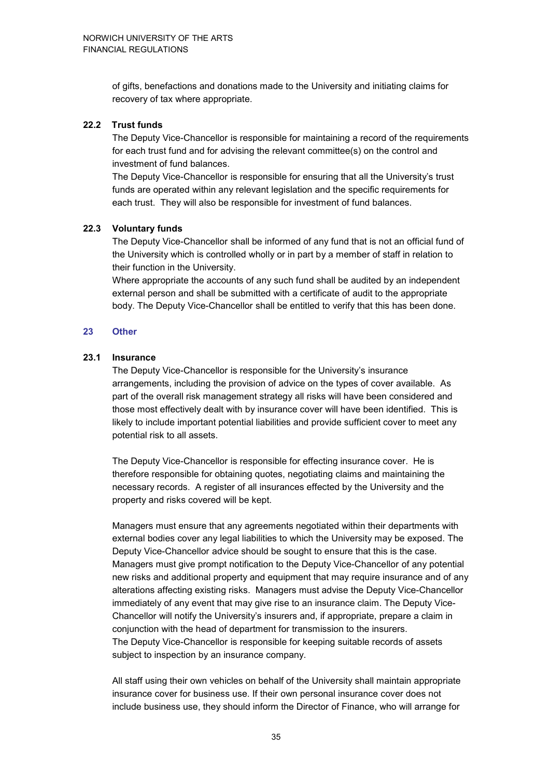of gifts, benefactions and donations made to the University and initiating claims for recovery of tax where appropriate.

#### **22.2 Trust funds**

The Deputy Vice-Chancellor is responsible for maintaining a record of the requirements for each trust fund and for advising the relevant committee(s) on the control and investment of fund balances.

The Deputy Vice-Chancellor is responsible for ensuring that all the University's trust funds are operated within any relevant legislation and the specific requirements for each trust. They will also be responsible for investment of fund balances.

#### **22.3 Voluntary funds**

The Deputy Vice-Chancellor shall be informed of any fund that is not an official fund of the University which is controlled wholly or in part by a member of staff in relation to their function in the University.

Where appropriate the accounts of any such fund shall be audited by an independent external person and shall be submitted with a certificate of audit to the appropriate body. The Deputy Vice-Chancellor shall be entitled to verify that this has been done.

#### **23 Other**

#### **23.1 Insurance**

The Deputy Vice-Chancellor is responsible for the University's insurance arrangements, including the provision of advice on the types of cover available. As part of the overall risk management strategy all risks will have been considered and those most effectively dealt with by insurance cover will have been identified. This is likely to include important potential liabilities and provide sufficient cover to meet any potential risk to all assets.

The Deputy Vice-Chancellor is responsible for effecting insurance cover. He is therefore responsible for obtaining quotes, negotiating claims and maintaining the necessary records. A register of all insurances effected by the University and the property and risks covered will be kept.

Managers must ensure that any agreements negotiated within their departments with external bodies cover any legal liabilities to which the University may be exposed. The Deputy Vice-Chancellor advice should be sought to ensure that this is the case. Managers must give prompt notification to the Deputy Vice-Chancellor of any potential new risks and additional property and equipment that may require insurance and of any alterations affecting existing risks. Managers must advise the Deputy Vice-Chancellor immediately of any event that may give rise to an insurance claim. The Deputy Vice-Chancellor will notify the University's insurers and, if appropriate, prepare a claim in conjunction with the head of department for transmission to the insurers. The Deputy Vice-Chancellor is responsible for keeping suitable records of assets subject to inspection by an insurance company.

All staff using their own vehicles on behalf of the University shall maintain appropriate insurance cover for business use. If their own personal insurance cover does not include business use, they should inform the Director of Finance, who will arrange for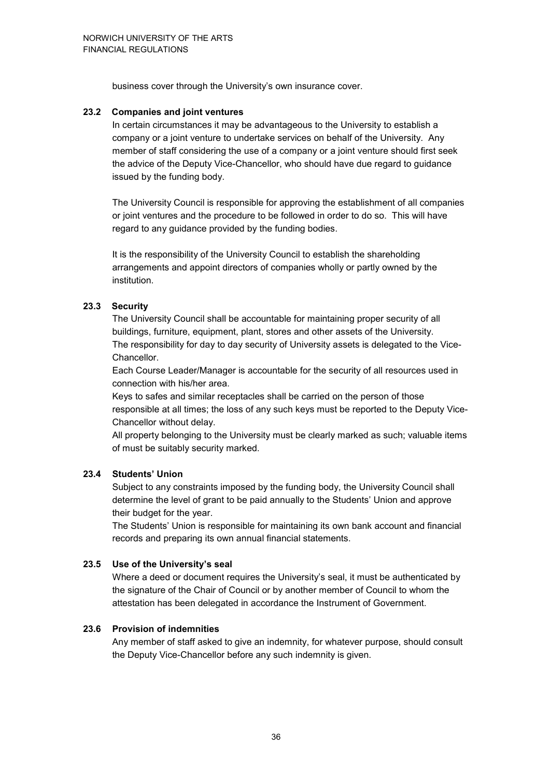business cover through the University's own insurance cover.

#### **23.2 Companies and joint ventures**

In certain circumstances it may be advantageous to the University to establish a company or a joint venture to undertake services on behalf of the University. Any member of staff considering the use of a company or a joint venture should first seek the advice of the Deputy Vice-Chancellor, who should have due regard to guidance issued by the funding body.

The University Council is responsible for approving the establishment of all companies or joint ventures and the procedure to be followed in order to do so. This will have regard to any guidance provided by the funding bodies.

It is the responsibility of the University Council to establish the shareholding arrangements and appoint directors of companies wholly or partly owned by the institution.

#### **23.3 Security**

The University Council shall be accountable for maintaining proper security of all buildings, furniture, equipment, plant, stores and other assets of the University. The responsibility for day to day security of University assets is delegated to the Vice-Chancellor.

Each Course Leader/Manager is accountable for the security of all resources used in connection with his/her area.

Keys to safes and similar receptacles shall be carried on the person of those responsible at all times; the loss of any such keys must be reported to the Deputy Vice-Chancellor without delay.

All property belonging to the University must be clearly marked as such; valuable items of must be suitably security marked.

#### **23.4 Students' Union**

Subject to any constraints imposed by the funding body, the University Council shall determine the level of grant to be paid annually to the Students' Union and approve their budget for the year.

The Students' Union is responsible for maintaining its own bank account and financial records and preparing its own annual financial statements.

#### **23.5 Use of the University's seal**

Where a deed or document requires the University's seal, it must be authenticated by the signature of the Chair of Council or by another member of Council to whom the attestation has been delegated in accordance the Instrument of Government.

#### **23.6 Provision of indemnities**

Any member of staff asked to give an indemnity, for whatever purpose, should consult the Deputy Vice-Chancellor before any such indemnity is given.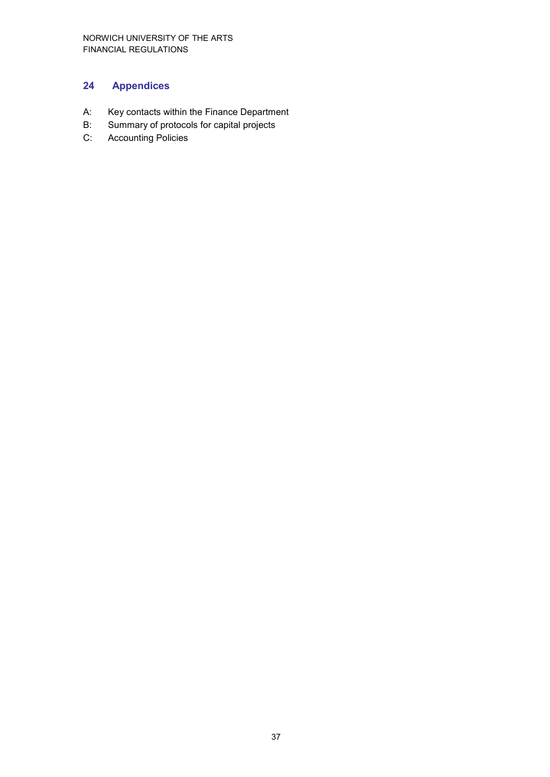# **24 Appendices**

- A: Key contacts within the Finance Department
- B: Summary of protocols for capital projects
- C: Accounting Policies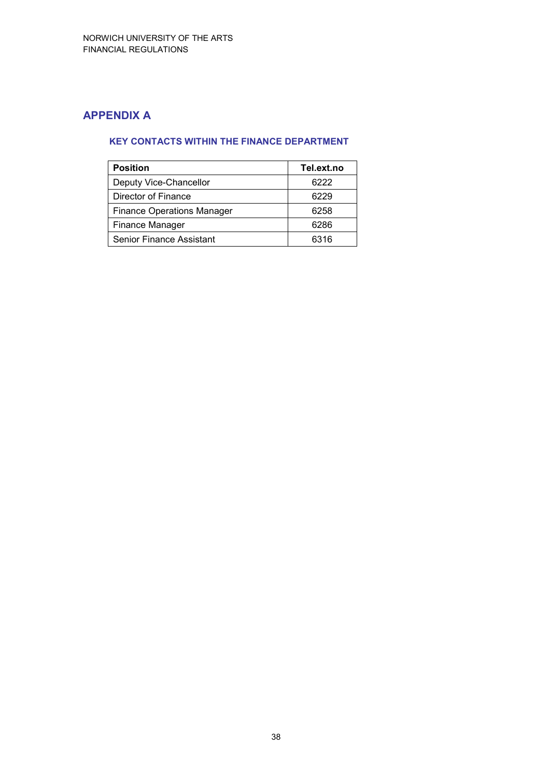# **APPENDIX A**

### **KEY CONTACTS WITHIN THE FINANCE DEPARTMENT**

| <b>Position</b>                   | Tel.ext.no |
|-----------------------------------|------------|
| Deputy Vice-Chancellor            | 6222       |
| Director of Finance               | 6229       |
| <b>Finance Operations Manager</b> | 6258       |
| Finance Manager                   | 6286       |
| Senior Finance Assistant          | 6316       |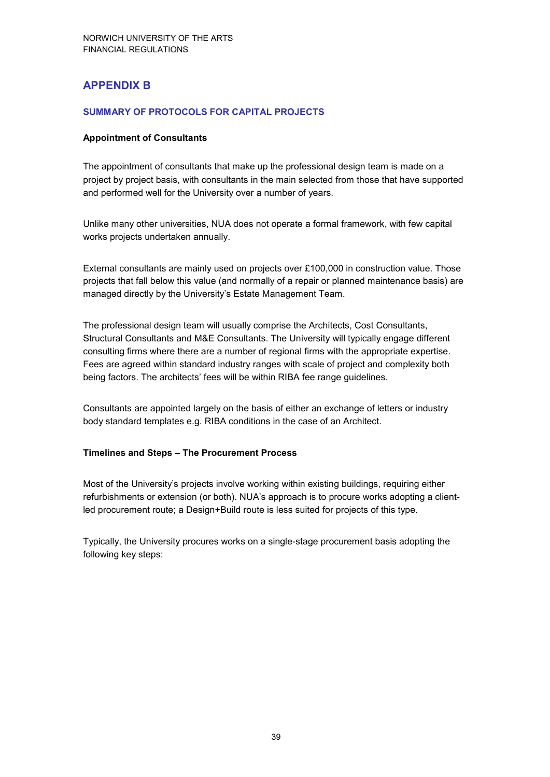### **APPENDIX B**

#### **SUMMARY OF PROTOCOLS FOR CAPITAL PROJECTS**

#### **Appointment of Consultants**

The appointment of consultants that make up the professional design team is made on a project by project basis, with consultants in the main selected from those that have supported and performed well for the University over a number of years.

Unlike many other universities, NUA does not operate a formal framework, with few capital works projects undertaken annually.

External consultants are mainly used on projects over £100,000 in construction value. Those projects that fall below this value (and normally of a repair or planned maintenance basis) are managed directly by the University's Estate Management Team.

The professional design team will usually comprise the Architects, Cost Consultants, Structural Consultants and M&E Consultants. The University will typically engage different consulting firms where there are a number of regional firms with the appropriate expertise. Fees are agreed within standard industry ranges with scale of project and complexity both being factors. The architects' fees will be within RIBA fee range guidelines.

Consultants are appointed largely on the basis of either an exchange of letters or industry body standard templates e.g. RIBA conditions in the case of an Architect.

#### **Timelines and Steps – The Procurement Process**

Most of the University's projects involve working within existing buildings, requiring either refurbishments or extension (or both). NUA's approach is to procure works adopting a clientled procurement route; a Design+Build route is less suited for projects of this type.

Typically, the University procures works on a single-stage procurement basis adopting the following key steps: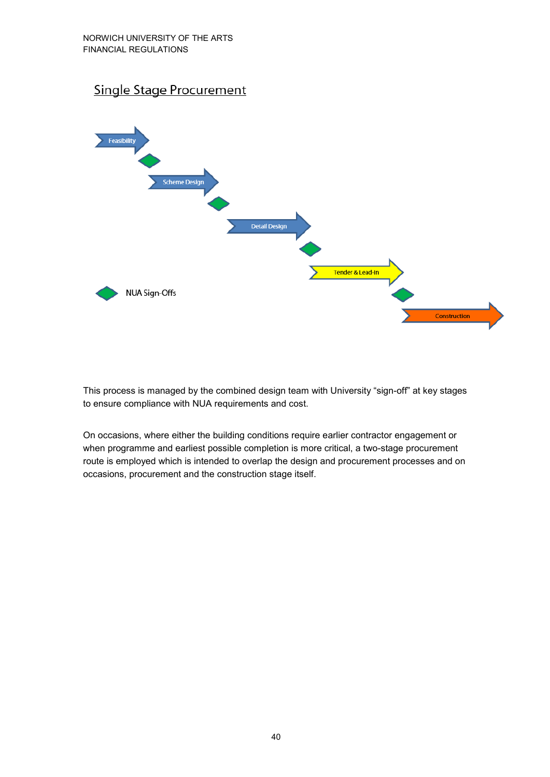# Single Stage Procurement



This process is managed by the combined design team with University "sign-off" at key stages to ensure compliance with NUA requirements and cost.

On occasions, where either the building conditions require earlier contractor engagement or when programme and earliest possible completion is more critical, a two-stage procurement route is employed which is intended to overlap the design and procurement processes and on occasions, procurement and the construction stage itself.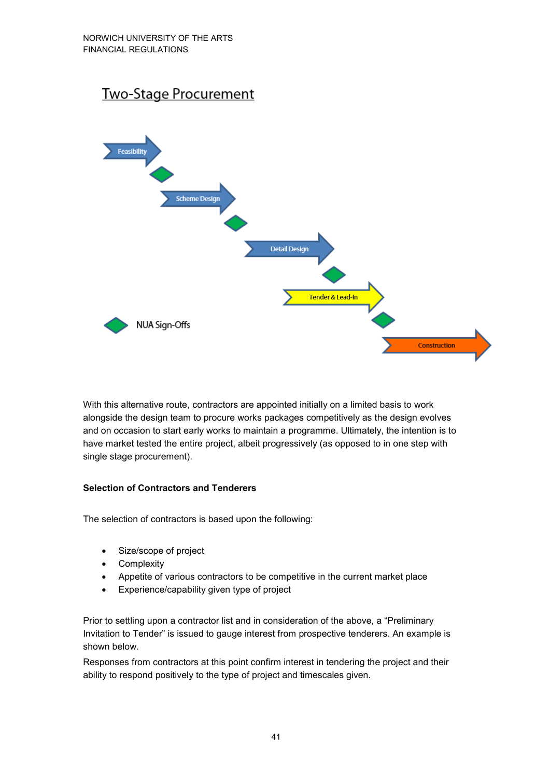

With this alternative route, contractors are appointed initially on a limited basis to work alongside the design team to procure works packages competitively as the design evolves and on occasion to start early works to maintain a programme. Ultimately, the intention is to have market tested the entire project, albeit progressively (as opposed to in one step with single stage procurement).

#### **Selection of Contractors and Tenderers**

The selection of contractors is based upon the following:

- Size/scope of project
- **Complexity**
- Appetite of various contractors to be competitive in the current market place
- Experience/capability given type of project

Prior to settling upon a contractor list and in consideration of the above, a "Preliminary Invitation to Tender" is issued to gauge interest from prospective tenderers. An example is shown below.

Responses from contractors at this point confirm interest in tendering the project and their ability to respond positively to the type of project and timescales given.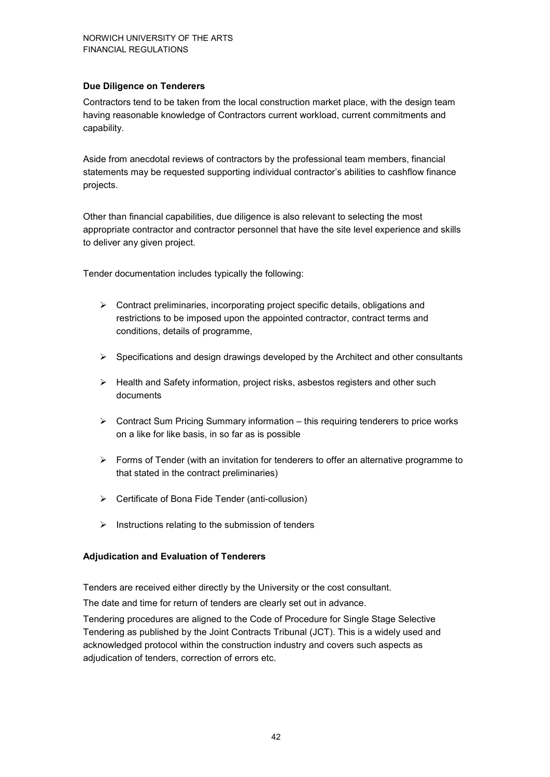#### **Due Diligence on Tenderers**

Contractors tend to be taken from the local construction market place, with the design team having reasonable knowledge of Contractors current workload, current commitments and capability.

Aside from anecdotal reviews of contractors by the professional team members, financial statements may be requested supporting individual contractor's abilities to cashflow finance projects.

Other than financial capabilities, due diligence is also relevant to selecting the most appropriate contractor and contractor personnel that have the site level experience and skills to deliver any given project.

Tender documentation includes typically the following:

- $\triangleright$  Contract preliminaries, incorporating project specific details, obligations and restrictions to be imposed upon the appointed contractor, contract terms and conditions, details of programme,
- $\triangleright$  Specifications and design drawings developed by the Architect and other consultants
- $\triangleright$  Health and Safety information, project risks, asbestos registers and other such documents
- $\triangleright$  Contract Sum Pricing Summary information this requiring tenderers to price works on a like for like basis, in so far as is possible
- $\triangleright$  Forms of Tender (with an invitation for tenderers to offer an alternative programme to that stated in the contract preliminaries)
- $\triangleright$  Certificate of Bona Fide Tender (anti-collusion)
- $\triangleright$  Instructions relating to the submission of tenders

#### **Adjudication and Evaluation of Tenderers**

Tenders are received either directly by the University or the cost consultant.

The date and time for return of tenders are clearly set out in advance.

Tendering procedures are aligned to the Code of Procedure for Single Stage Selective Tendering as published by the Joint Contracts Tribunal (JCT). This is a widely used and acknowledged protocol within the construction industry and covers such aspects as adjudication of tenders, correction of errors etc.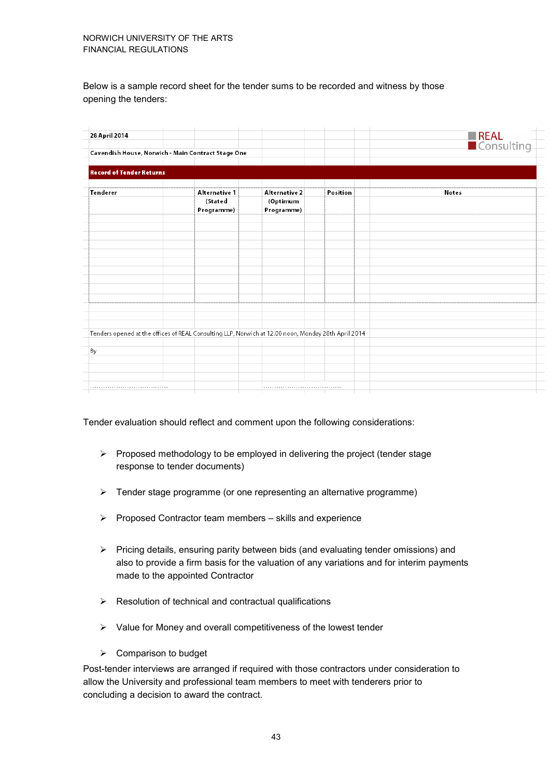Below is a sample record sheet for the tender sums to be recorded and witness by those opening the tenders:

| 28 April 2014                   |                                                                                                     |               |          | <b>REAL</b><br>Consulting |
|---------------------------------|-----------------------------------------------------------------------------------------------------|---------------|----------|---------------------------|
|                                 |                                                                                                     |               |          |                           |
|                                 | Cavendish House, Norwich - Main Contract Stage One                                                  |               |          |                           |
|                                 |                                                                                                     |               |          |                           |
| <b>Record of Tender Returns</b> |                                                                                                     |               |          |                           |
|                                 |                                                                                                     |               |          |                           |
| Tenderer                        | Alternative 1                                                                                       | Alternative 2 | Position | Notes                     |
|                                 | (Stated                                                                                             | (Optimum      |          |                           |
|                                 | Programme)                                                                                          | Programme)    |          |                           |
|                                 |                                                                                                     |               |          |                           |
|                                 |                                                                                                     |               |          |                           |
|                                 |                                                                                                     |               |          |                           |
|                                 |                                                                                                     |               |          |                           |
|                                 |                                                                                                     |               |          |                           |
|                                 |                                                                                                     |               |          |                           |
|                                 |                                                                                                     |               |          |                           |
|                                 |                                                                                                     |               |          |                           |
|                                 |                                                                                                     |               |          |                           |
|                                 |                                                                                                     |               |          |                           |
|                                 |                                                                                                     |               |          |                           |
|                                 |                                                                                                     |               |          |                           |
|                                 | Tenders opened at the offices of REAL Consulting LLP, Norwich at 12.00 noon, Monday 28th April 2014 |               |          |                           |
|                                 |                                                                                                     |               |          |                           |
| By                              |                                                                                                     |               |          |                           |
|                                 |                                                                                                     |               |          |                           |
|                                 |                                                                                                     |               |          |                           |
|                                 |                                                                                                     |               |          |                           |
|                                 |                                                                                                     |               |          |                           |

Tender evaluation should reflect and comment upon the following considerations:

- $\triangleright$  Proposed methodology to be employed in delivering the project (tender stage response to tender documents)
- $\triangleright$  Tender stage programme (or one representing an alternative programme)
- $\triangleright$  Proposed Contractor team members skills and experience
- Pricing details, ensuring parity between bids (and evaluating tender omissions) and also to provide a firm basis for the valuation of any variations and for interim payments made to the appointed Contractor
- $\triangleright$  Resolution of technical and contractual qualifications
- $\triangleright$  Value for Money and overall competitiveness of the lowest tender
- $\triangleright$  Comparison to budget

Post-tender interviews are arranged if required with those contractors under consideration to allow the University and professional team members to meet with tenderers prior to concluding a decision to award the contract.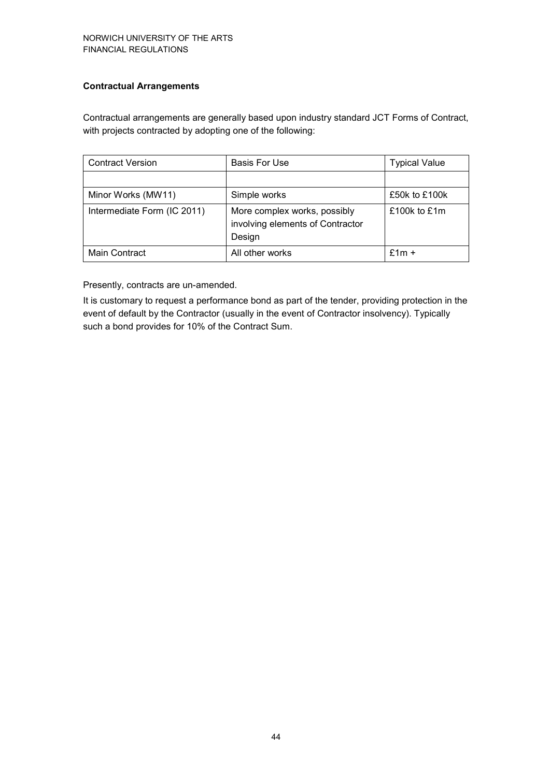#### **Contractual Arrangements**

Contractual arrangements are generally based upon industry standard JCT Forms of Contract, with projects contracted by adopting one of the following:

| <b>Contract Version</b>     | <b>Basis For Use</b>                                                       | <b>Typical Value</b> |
|-----------------------------|----------------------------------------------------------------------------|----------------------|
|                             |                                                                            |                      |
| Minor Works (MW11)          | Simple works                                                               | £50k to £100k        |
| Intermediate Form (IC 2011) | More complex works, possibly<br>involving elements of Contractor<br>Design | £100 $k$ to £1m      |
| Main Contract               | All other works                                                            | $f$ 1m +             |

Presently, contracts are un-amended.

It is customary to request a performance bond as part of the tender, providing protection in the event of default by the Contractor (usually in the event of Contractor insolvency). Typically such a bond provides for 10% of the Contract Sum.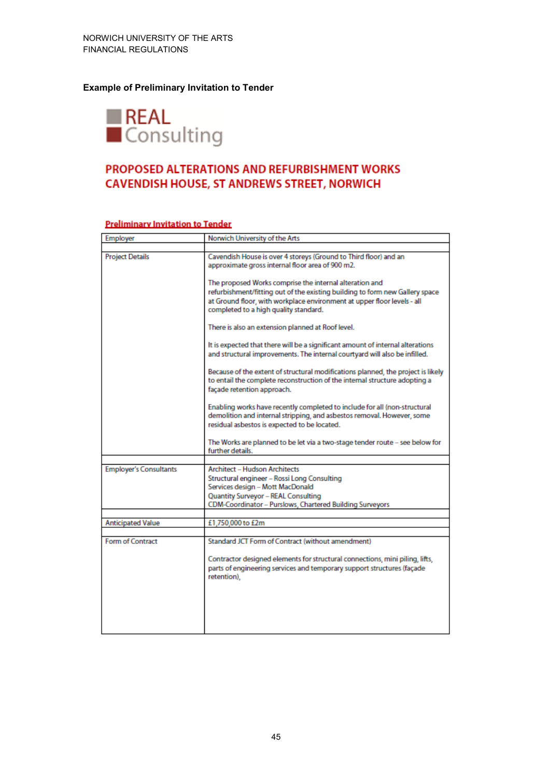#### **Example of Preliminary Invitation to Tender**



# PROPOSED ALTERATIONS AND REFURBISHMENT WORKS CAVENDISH HOUSE, ST ANDREWS STREET, NORWICH

| Employer                      | Norwich University of the Arts                                                                                                                                                                                                                              |
|-------------------------------|-------------------------------------------------------------------------------------------------------------------------------------------------------------------------------------------------------------------------------------------------------------|
|                               |                                                                                                                                                                                                                                                             |
| <b>Project Details</b>        | Cavendish House is over 4 storeys (Ground to Third floor) and an<br>approximate gross internal floor area of 900 m2.                                                                                                                                        |
|                               | The proposed Works comprise the internal alteration and<br>refurbishment/fitting out of the existing building to form new Gallery space<br>at Ground floor, with workplace environment at upper floor levels - all<br>completed to a high quality standard. |
|                               | There is also an extension planned at Roof level.                                                                                                                                                                                                           |
|                               | It is expected that there will be a significant amount of internal alterations<br>and structural improvements. The internal courtyard will also be infilled.                                                                                                |
|                               | Because of the extent of structural modifications planned, the project is likely<br>to entail the complete reconstruction of the internal structure adopting a<br>façade retention approach.                                                                |
|                               | Enabling works have recently completed to include for all (non-structural<br>demolition and internal stripping, and asbestos removal. However, some<br>residual asbestos is expected to be located.                                                         |
|                               | The Works are planned to be let via a two-stage tender route - see below for<br>further details.                                                                                                                                                            |
|                               |                                                                                                                                                                                                                                                             |
| <b>Employer's Consultants</b> | <b>Architect - Hudson Architects</b><br>Structural engineer - Rossi Long Consulting<br>Services design - Mott MacDonald<br>Quantity Surveyor - REAL Consulting<br>CDM-Coordinator - Purslows, Chartered Building Surveyors                                  |
|                               |                                                                                                                                                                                                                                                             |
| <b>Anticipated Value</b>      | £1,750,000 to £2m                                                                                                                                                                                                                                           |
|                               |                                                                                                                                                                                                                                                             |
| <b>Form of Contract</b>       | Standard JCT Form of Contract (without amendment)                                                                                                                                                                                                           |
|                               | Contractor designed elements for structural connections, mini piling, lifts,<br>parts of engineering services and temporary support structures (façade<br>retention),                                                                                       |
|                               |                                                                                                                                                                                                                                                             |
|                               |                                                                                                                                                                                                                                                             |

#### Preliminary Invitation to Tender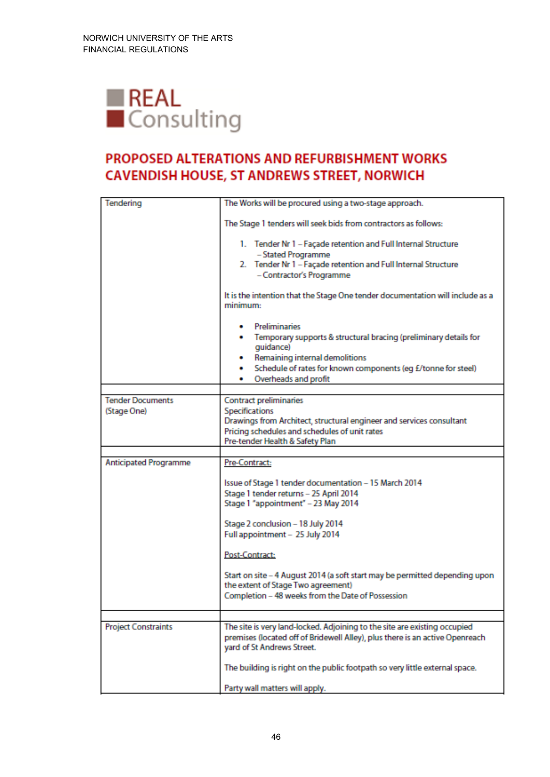

# PROPOSED ALTERATIONS AND REFURBISHMENT WORKS CAVENDISH HOUSE, ST ANDREWS STREET, NORWICH

| Tendering                              | The Works will be procured using a two-stage approach.                                                                                                                                                                                  |
|----------------------------------------|-----------------------------------------------------------------------------------------------------------------------------------------------------------------------------------------------------------------------------------------|
|                                        | The Stage 1 tenders will seek bids from contractors as follows:                                                                                                                                                                         |
|                                        | 1. Tender Nr 1 - Façade retention and Full Internal Structure<br>- Stated Programme<br>2. Tender Nr 1 - Façade retention and Full Internal Structure<br>- Contractor's Programme                                                        |
|                                        | It is the intention that the Stage One tender documentation will include as a<br>minimum:                                                                                                                                               |
|                                        | • Preliminaries<br>. Temporary supports & structural bracing (preliminary details for<br>quidance)<br>Remaining internal demolitions<br>Schedule of rates for known components (eg £/tonne for steel)<br>٠<br>Overheads and profit<br>٠ |
|                                        |                                                                                                                                                                                                                                         |
| <b>Tender Documents</b><br>(Stage One) | <b>Contract preliminaries</b><br>Specifications<br>Drawings from Architect, structural engineer and services consultant<br>Pricing schedules and schedules of unit rates<br>Pre-tender Health & Safety Plan                             |
|                                        |                                                                                                                                                                                                                                         |
| <b>Anticipated Programme</b>           | Pre-Contract:<br>Issue of Stage 1 tender documentation - 15 March 2014<br>Stage 1 tender returns - 25 April 2014<br>Stage 1 "appointment" - 23 May 2014                                                                                 |
|                                        | Stage 2 conclusion - 18 July 2014<br>Full appointment - 25 July 2014                                                                                                                                                                    |
|                                        | Post-Contract:                                                                                                                                                                                                                          |
|                                        | Start on site - 4 August 2014 (a soft start may be permitted depending upon<br>the extent of Stage Two agreement)<br>Completion - 48 weeks from the Date of Possession                                                                  |
|                                        |                                                                                                                                                                                                                                         |
| <b>Project Constraints</b>             | The site is very land-locked. Adjoining to the site are existing occupied<br>premises (located off of Bridewell Alley), plus there is an active Openreach<br>yard of St Andrews Street.                                                 |
|                                        | The building is right on the public footpath so very little external space.                                                                                                                                                             |
|                                        | Party wall matters will apply.                                                                                                                                                                                                          |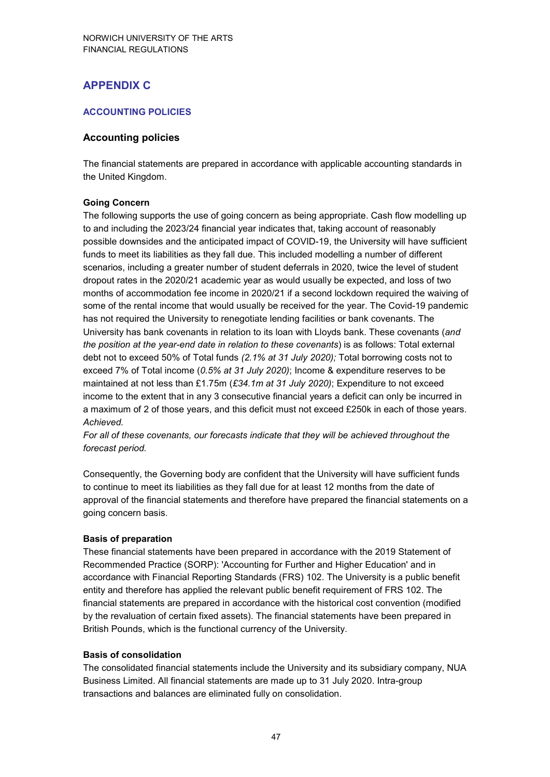# **APPENDIX C**

#### **ACCOUNTING POLICIES**

#### **Accounting policies**

The financial statements are prepared in accordance with applicable accounting standards in the United Kingdom.

#### **Going Concern**

The following supports the use of going concern as being appropriate. Cash flow modelling up to and including the 2023/24 financial year indicates that, taking account of reasonably possible downsides and the anticipated impact of COVID-19, the University will have sufficient funds to meet its liabilities as they fall due. This included modelling a number of different scenarios, including a greater number of student deferrals in 2020, twice the level of student dropout rates in the 2020/21 academic year as would usually be expected, and loss of two months of accommodation fee income in 2020/21 if a second lockdown required the waiving of some of the rental income that would usually be received for the year. The Covid-19 pandemic has not required the University to renegotiate lending facilities or bank covenants. The University has bank covenants in relation to its loan with Lloyds bank. These covenants (*and the position at the year-end date in relation to these covenants*) is as follows: Total external debt not to exceed 50% of Total funds *(2.1% at 31 July 2020);* Total borrowing costs not to exceed 7% of Total income (*0.5% at 31 July 2020)*; Income & expenditure reserves to be maintained at not less than £1.75m (*£34.1m at 31 July 2020)*; Expenditure to not exceed income to the extent that in any 3 consecutive financial years a deficit can only be incurred in a maximum of 2 of those years, and this deficit must not exceed £250k in each of those years. *Achieved.* 

*For all of these covenants, our forecasts indicate that they will be achieved throughout the forecast period.* 

Consequently, the Governing body are confident that the University will have sufficient funds to continue to meet its liabilities as they fall due for at least 12 months from the date of approval of the financial statements and therefore have prepared the financial statements on a going concern basis.

#### **Basis of preparation**

These financial statements have been prepared in accordance with the 2019 Statement of Recommended Practice (SORP): 'Accounting for Further and Higher Education' and in accordance with Financial Reporting Standards (FRS) 102. The University is a public benefit entity and therefore has applied the relevant public benefit requirement of FRS 102. The financial statements are prepared in accordance with the historical cost convention (modified by the revaluation of certain fixed assets). The financial statements have been prepared in British Pounds, which is the functional currency of the University.

#### **Basis of consolidation**

The consolidated financial statements include the University and its subsidiary company, NUA Business Limited. All financial statements are made up to 31 July 2020. Intra-group transactions and balances are eliminated fully on consolidation.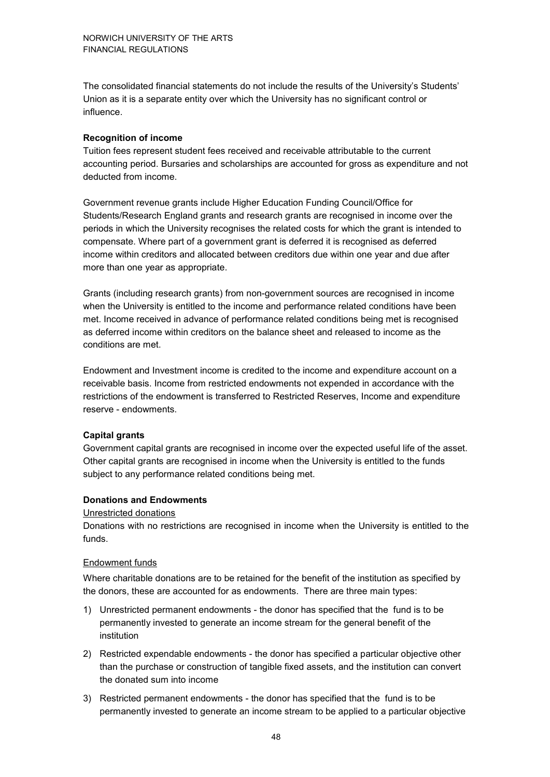The consolidated financial statements do not include the results of the University's Students' Union as it is a separate entity over which the University has no significant control or influence.

#### **Recognition of income**

Tuition fees represent student fees received and receivable attributable to the current accounting period. Bursaries and scholarships are accounted for gross as expenditure and not deducted from income.

Government revenue grants include Higher Education Funding Council/Office for Students/Research England grants and research grants are recognised in income over the periods in which the University recognises the related costs for which the grant is intended to compensate. Where part of a government grant is deferred it is recognised as deferred income within creditors and allocated between creditors due within one year and due after more than one year as appropriate.

Grants (including research grants) from non-government sources are recognised in income when the University is entitled to the income and performance related conditions have been met. Income received in advance of performance related conditions being met is recognised as deferred income within creditors on the balance sheet and released to income as the conditions are met.

Endowment and Investment income is credited to the income and expenditure account on a receivable basis. Income from restricted endowments not expended in accordance with the restrictions of the endowment is transferred to Restricted Reserves, Income and expenditure reserve - endowments.

#### **Capital grants**

Government capital grants are recognised in income over the expected useful life of the asset. Other capital grants are recognised in income when the University is entitled to the funds subject to any performance related conditions being met.

#### **Donations and Endowments**

#### Unrestricted donations

Donations with no restrictions are recognised in income when the University is entitled to the funds.

#### Endowment funds

Where charitable donations are to be retained for the benefit of the institution as specified by the donors, these are accounted for as endowments. There are three main types:

- 1) Unrestricted permanent endowments the donor has specified that the fund is to be permanently invested to generate an income stream for the general benefit of the institution
- 2) Restricted expendable endowments the donor has specified a particular objective other than the purchase or construction of tangible fixed assets, and the institution can convert the donated sum into income
- 3) Restricted permanent endowments the donor has specified that the fund is to be permanently invested to generate an income stream to be applied to a particular objective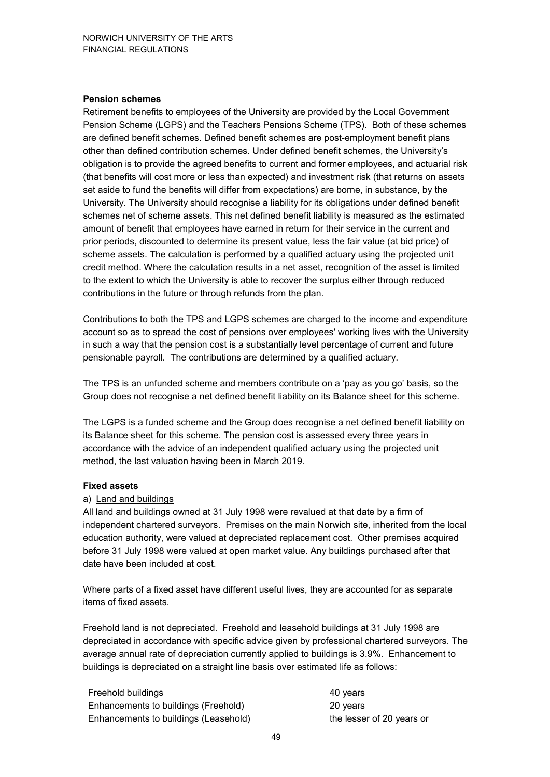#### **Pension schemes**

Retirement benefits to employees of the University are provided by the Local Government Pension Scheme (LGPS) and the Teachers Pensions Scheme (TPS). Both of these schemes are defined benefit schemes. Defined benefit schemes are post-employment benefit plans other than defined contribution schemes. Under defined benefit schemes, the University's obligation is to provide the agreed benefits to current and former employees, and actuarial risk (that benefits will cost more or less than expected) and investment risk (that returns on assets set aside to fund the benefits will differ from expectations) are borne, in substance, by the University. The University should recognise a liability for its obligations under defined benefit schemes net of scheme assets. This net defined benefit liability is measured as the estimated amount of benefit that employees have earned in return for their service in the current and prior periods, discounted to determine its present value, less the fair value (at bid price) of scheme assets. The calculation is performed by a qualified actuary using the projected unit credit method. Where the calculation results in a net asset, recognition of the asset is limited to the extent to which the University is able to recover the surplus either through reduced contributions in the future or through refunds from the plan.

Contributions to both the TPS and LGPS schemes are charged to the income and expenditure account so as to spread the cost of pensions over employees' working lives with the University in such a way that the pension cost is a substantially level percentage of current and future pensionable payroll. The contributions are determined by a qualified actuary.

The TPS is an unfunded scheme and members contribute on a 'pay as you go' basis, so the Group does not recognise a net defined benefit liability on its Balance sheet for this scheme.

The LGPS is a funded scheme and the Group does recognise a net defined benefit liability on its Balance sheet for this scheme. The pension cost is assessed every three years in accordance with the advice of an independent qualified actuary using the projected unit method, the last valuation having been in March 2019.

#### **Fixed assets**

#### a) Land and buildings

All land and buildings owned at 31 July 1998 were revalued at that date by a firm of independent chartered surveyors. Premises on the main Norwich site, inherited from the local education authority, were valued at depreciated replacement cost. Other premises acquired before 31 July 1998 were valued at open market value. Any buildings purchased after that date have been included at cost.

Where parts of a fixed asset have different useful lives, they are accounted for as separate items of fixed assets.

Freehold land is not depreciated. Freehold and leasehold buildings at 31 July 1998 are depreciated in accordance with specific advice given by professional chartered surveyors. The average annual rate of depreciation currently applied to buildings is 3.9%. Enhancement to buildings is depreciated on a straight line basis over estimated life as follows:

| Freehold buildings                    | 40 years                  |
|---------------------------------------|---------------------------|
| Enhancements to buildings (Freehold)  | 20 years                  |
| Enhancements to buildings (Leasehold) | the lesser of 20 years or |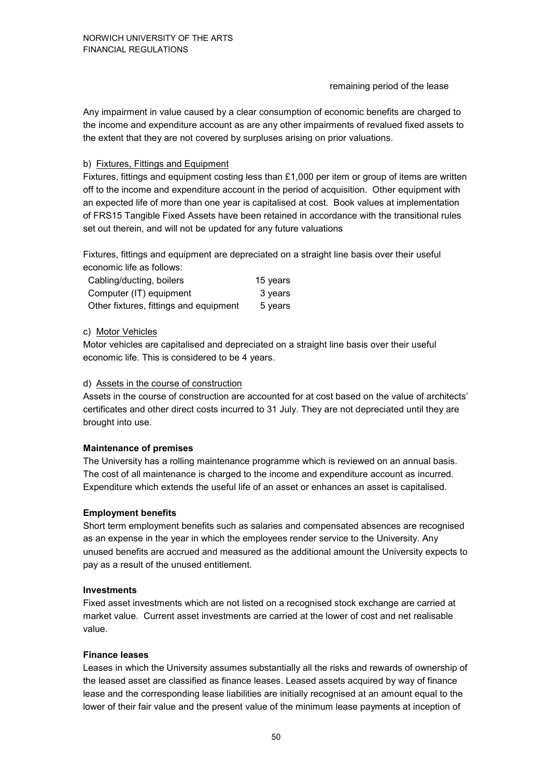#### remaining period of the lease

Any impairment in value caused by a clear consumption of economic benefits are charged to the income and expenditure account as are any other impairments of revalued fixed assets to the extent that they are not covered by surpluses arising on prior valuations.

#### b) Fixtures, Fittings and Equipment

Fixtures, fittings and equipment costing less than £1,000 per item or group of items are written off to the income and expenditure account in the period of acquisition. Other equipment with an expected life of more than one year is capitalised at cost. Book values at implementation of FRS15 Tangible Fixed Assets have been retained in accordance with the transitional rules set out therein, and will not be updated for any future valuations

Fixtures, fittings and equipment are depreciated on a straight line basis over their useful economic life as follows:

| Cabling/ducting, boilers               | 15 years |
|----------------------------------------|----------|
| Computer (IT) equipment                | 3 years  |
| Other fixtures, fittings and equipment | 5 years  |

#### c) Motor Vehicles

Motor vehicles are capitalised and depreciated on a straight line basis over their useful economic life. This is considered to be 4 years.

#### d) Assets in the course of construction

Assets in the course of construction are accounted for at cost based on the value of architects' certificates and other direct costs incurred to 31 July. They are not depreciated until they are brought into use.

#### **Maintenance of premises**

The University has a rolling maintenance programme which is reviewed on an annual basis. The cost of all maintenance is charged to the income and expenditure account as incurred. Expenditure which extends the useful life of an asset or enhances an asset is capitalised.

#### **Employment benefits**

Short term employment benefits such as salaries and compensated absences are recognised as an expense in the year in which the employees render service to the University. Any unused benefits are accrued and measured as the additional amount the University expects to pay as a result of the unused entitlement.

#### **Investments**

Fixed asset investments which are not listed on a recognised stock exchange are carried at market value. Current asset investments are carried at the lower of cost and net realisable value.

#### **Finance leases**

Leases in which the University assumes substantially all the risks and rewards of ownership of the leased asset are classified as finance leases. Leased assets acquired by way of finance lease and the corresponding lease liabilities are initially recognised at an amount equal to the lower of their fair value and the present value of the minimum lease payments at inception of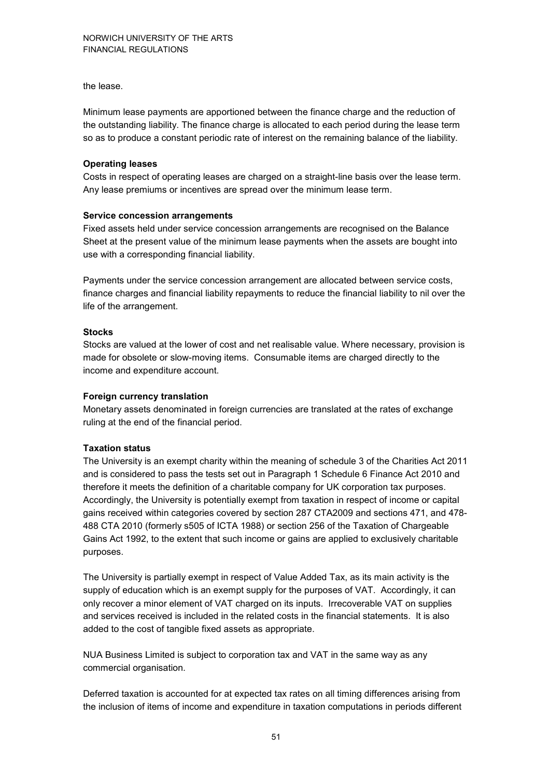the lease.

Minimum lease payments are apportioned between the finance charge and the reduction of the outstanding liability. The finance charge is allocated to each period during the lease term so as to produce a constant periodic rate of interest on the remaining balance of the liability.

#### **Operating leases**

Costs in respect of operating leases are charged on a straight-line basis over the lease term. Any lease premiums or incentives are spread over the minimum lease term.

#### **Service concession arrangements**

Fixed assets held under service concession arrangements are recognised on the Balance Sheet at the present value of the minimum lease payments when the assets are bought into use with a corresponding financial liability.

Payments under the service concession arrangement are allocated between service costs, finance charges and financial liability repayments to reduce the financial liability to nil over the life of the arrangement.

#### **Stocks**

Stocks are valued at the lower of cost and net realisable value. Where necessary, provision is made for obsolete or slow-moving items. Consumable items are charged directly to the income and expenditure account.

#### **Foreign currency translation**

Monetary assets denominated in foreign currencies are translated at the rates of exchange ruling at the end of the financial period.

#### **Taxation status**

The University is an exempt charity within the meaning of schedule 3 of the Charities Act 2011 and is considered to pass the tests set out in Paragraph 1 Schedule 6 Finance Act 2010 and therefore it meets the definition of a charitable company for UK corporation tax purposes. Accordingly, the University is potentially exempt from taxation in respect of income or capital gains received within categories covered by section 287 CTA2009 and sections 471, and 478- 488 CTA 2010 (formerly s505 of ICTA 1988) or section 256 of the Taxation of Chargeable Gains Act 1992, to the extent that such income or gains are applied to exclusively charitable purposes.

The University is partially exempt in respect of Value Added Tax, as its main activity is the supply of education which is an exempt supply for the purposes of VAT. Accordingly, it can only recover a minor element of VAT charged on its inputs. Irrecoverable VAT on supplies and services received is included in the related costs in the financial statements. It is also added to the cost of tangible fixed assets as appropriate.

NUA Business Limited is subject to corporation tax and VAT in the same way as any commercial organisation.

Deferred taxation is accounted for at expected tax rates on all timing differences arising from the inclusion of items of income and expenditure in taxation computations in periods different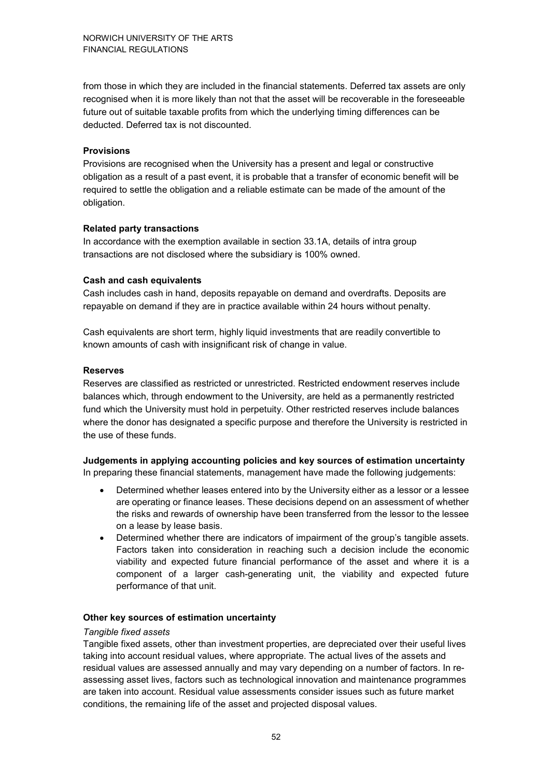from those in which they are included in the financial statements. Deferred tax assets are only recognised when it is more likely than not that the asset will be recoverable in the foreseeable future out of suitable taxable profits from which the underlying timing differences can be deducted. Deferred tax is not discounted.

#### **Provisions**

Provisions are recognised when the University has a present and legal or constructive obligation as a result of a past event, it is probable that a transfer of economic benefit will be required to settle the obligation and a reliable estimate can be made of the amount of the obligation.

#### **Related party transactions**

In accordance with the exemption available in section 33.1A, details of intra group transactions are not disclosed where the subsidiary is 100% owned.

#### **Cash and cash equivalents**

Cash includes cash in hand, deposits repayable on demand and overdrafts. Deposits are repayable on demand if they are in practice available within 24 hours without penalty.

Cash equivalents are short term, highly liquid investments that are readily convertible to known amounts of cash with insignificant risk of change in value.

#### **Reserves**

Reserves are classified as restricted or unrestricted. Restricted endowment reserves include balances which, through endowment to the University, are held as a permanently restricted fund which the University must hold in perpetuity. Other restricted reserves include balances where the donor has designated a specific purpose and therefore the University is restricted in the use of these funds.

**Judgements in applying accounting policies and key sources of estimation uncertainty**  In preparing these financial statements, management have made the following judgements:

- Determined whether leases entered into by the University either as a lessor or a lessee are operating or finance leases. These decisions depend on an assessment of whether the risks and rewards of ownership have been transferred from the lessor to the lessee on a lease by lease basis.
- Determined whether there are indicators of impairment of the group's tangible assets. Factors taken into consideration in reaching such a decision include the economic viability and expected future financial performance of the asset and where it is a component of a larger cash-generating unit, the viability and expected future performance of that unit.

#### **Other key sources of estimation uncertainty**

#### *Tangible fixed assets*

Tangible fixed assets, other than investment properties, are depreciated over their useful lives taking into account residual values, where appropriate. The actual lives of the assets and residual values are assessed annually and may vary depending on a number of factors. In reassessing asset lives, factors such as technological innovation and maintenance programmes are taken into account. Residual value assessments consider issues such as future market conditions, the remaining life of the asset and projected disposal values.